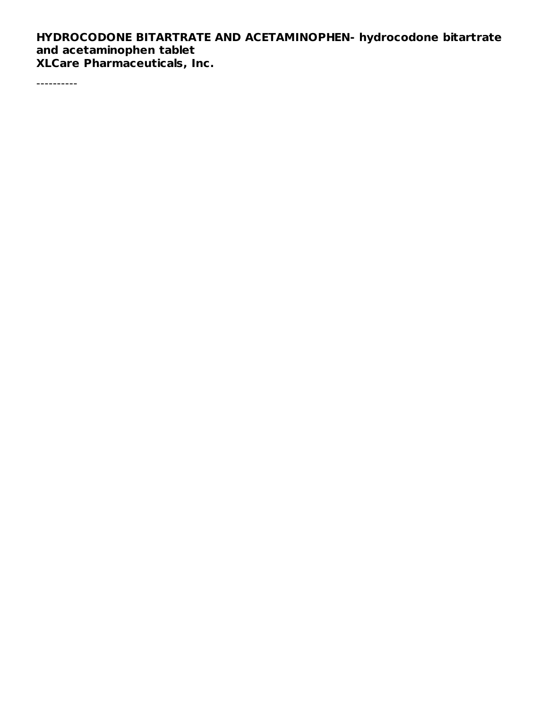### **HYDROCODONE BITARTRATE AND ACETAMINOPHEN- hydrocodone bitartrate and acetaminophen tablet XLCare Pharmaceuticals, Inc.**

----------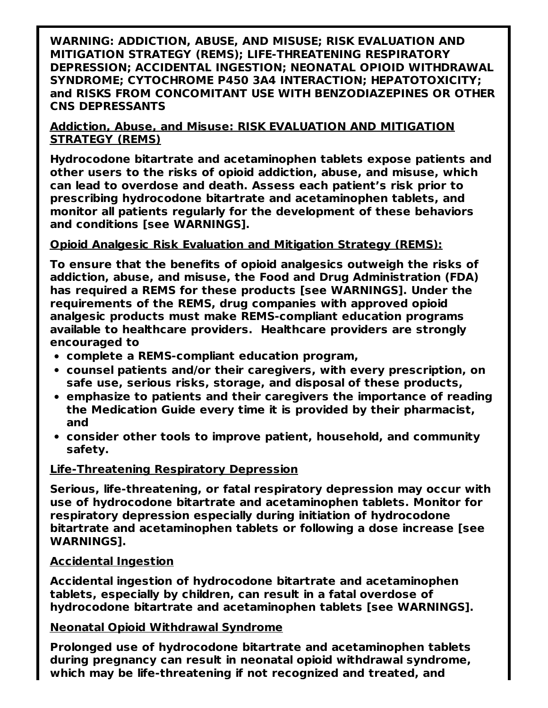**WARNING: ADDICTION, ABUSE, AND MISUSE; RISK EVALUATION AND MITIGATION STRATEGY (REMS); LIFE-THREATENING RESPIRATORY DEPRESSION; ACCIDENTAL INGESTION; NEONATAL OPIOID WITHDRAWAL SYNDROME; CYTOCHROME P450 3A4 INTERACTION; HEPATOTOXICITY; and RISKS FROM CONCOMITANT USE WITH BENZODIAZEPINES OR OTHER CNS DEPRESSANTS**

**Addiction, Abuse, and Misuse: RISK EVALUATION AND MITIGATION STRATEGY (REMS)**

**Hydrocodone bitartrate and acetaminophen tablets expose patients and other users to the risks of opioid addiction, abuse, and misuse, which can lead to overdose and death. Assess each patient's risk prior to prescribing hydrocodone bitartrate and acetaminophen tablets, and monitor all patients regularly for the development of these behaviors and conditions [see WARNINGS].**

#### **Opioid Analgesic Risk Evaluation and Mitigation Strategy (REMS):**

**To ensure that the benefits of opioid analgesics outweigh the risks of addiction, abuse, and misuse, the Food and Drug Administration (FDA) has required a REMS for these products [see WARNINGS]. Under the requirements of the REMS, drug companies with approved opioid analgesic products must make REMS-compliant education programs available to healthcare providers. Healthcare providers are strongly encouraged to**

- **complete a REMS-compliant education program,**
- **counsel patients and/or their caregivers, with every prescription, on safe use, serious risks, storage, and disposal of these products,**
- **emphasize to patients and their caregivers the importance of reading the Medication Guide every time it is provided by their pharmacist, and**
- **consider other tools to improve patient, household, and community safety.**

#### **Life-Threatening Respiratory Depression**

**Serious, life-threatening, or fatal respiratory depression may occur with use of hydrocodone bitartrate and acetaminophen tablets. Monitor for respiratory depression especially during initiation of hydrocodone bitartrate and acetaminophen tablets or following a dose increase [see WARNINGS].**

#### **Accidental Ingestion**

**Accidental ingestion of hydrocodone bitartrate and acetaminophen tablets, especially by children, can result in a fatal overdose of hydrocodone bitartrate and acetaminophen tablets [see WARNINGS].**

#### **Neonatal Opioid Withdrawal Syndrome**

**Prolonged use of hydrocodone bitartrate and acetaminophen tablets during pregnancy can result in neonatal opioid withdrawal syndrome, which may be life-threatening if not recognized and treated, and**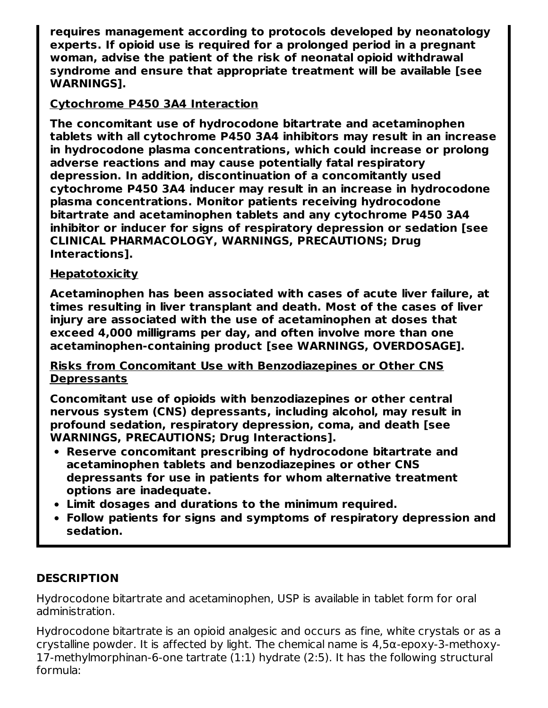**requires management according to protocols developed by neonatology experts. If opioid use is required for a prolonged period in a pregnant woman, advise the patient of the risk of neonatal opioid withdrawal syndrome and ensure that appropriate treatment will be available [see WARNINGS].**

## **Cytochrome P450 3A4 Interaction**

**The concomitant use of hydrocodone bitartrate and acetaminophen tablets with all cytochrome P450 3A4 inhibitors may result in an increase in hydrocodone plasma concentrations, which could increase or prolong adverse reactions and may cause potentially fatal respiratory depression. In addition, discontinuation of a concomitantly used cytochrome P450 3A4 inducer may result in an increase in hydrocodone plasma concentrations. Monitor patients receiving hydrocodone bitartrate and acetaminophen tablets and any cytochrome P450 3A4 inhibitor or inducer for signs of respiratory depression or sedation [see CLINICAL PHARMACOLOGY, WARNINGS, PRECAUTIONS; Drug Interactions].**

### **Hepatotoxicity**

**Acetaminophen has been associated with cases of acute liver failure, at times resulting in liver transplant and death. Most of the cases of liver injury are associated with the use of acetaminophen at doses that exceed 4,000 milligrams per day, and often involve more than one acetaminophen-containing product [see WARNINGS, OVERDOSAGE].**

**Risks from Concomitant Use with Benzodiazepines or Other CNS Depressants**

**Concomitant use of opioids with benzodiazepines or other central nervous system (CNS) depressants, including alcohol, may result in profound sedation, respiratory depression, coma, and death [see WARNINGS, PRECAUTIONS; Drug Interactions].**

- **Reserve concomitant prescribing of hydrocodone bitartrate and acetaminophen tablets and benzodiazepines or other CNS depressants for use in patients for whom alternative treatment options are inadequate.**
- **Limit dosages and durations to the minimum required.**
- **Follow patients for signs and symptoms of respiratory depression and sedation.**

## **DESCRIPTION**

Hydrocodone bitartrate and acetaminophen, USP is available in tablet form for oral administration.

Hydrocodone bitartrate is an opioid analgesic and occurs as fine, white crystals or as a crystalline powder. It is affected by light. The chemical name is 4,5α-epoxy-3-methoxy-17-methylmorphinan-6-one tartrate (1:1) hydrate (2:5). It has the following structural formula: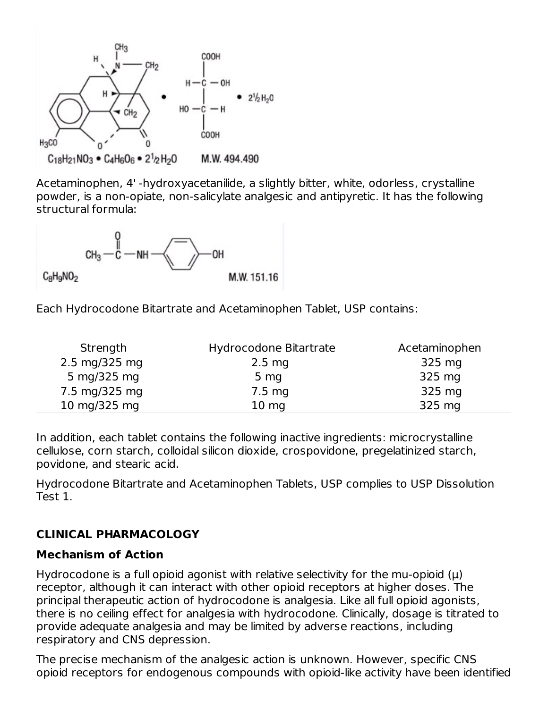

Acetaminophen, 4' -hydroxyacetanilide, a slightly bitter, white, odorless, crystalline powder, is a non-opiate, non-salicylate analgesic and antipyretic. It has the following structural formula:



Each Hydrocodone Bitartrate and Acetaminophen Tablet, USP contains:

| Hydrocodone Bitartrate | Acetaminophen |
|------------------------|---------------|
| $2.5 \text{ mg}$       | 325 mg        |
| 5 <sub>mg</sub>        | 325 mg        |
| $7.5 \text{ mg}$       | 325 mg        |
| $10 \text{ mg}$        | 325 mg        |
|                        |               |

In addition, each tablet contains the following inactive ingredients: microcrystalline cellulose, corn starch, colloidal silicon dioxide, crospovidone, pregelatinized starch, povidone, and stearic acid.

Hydrocodone Bitartrate and Acetaminophen Tablets, USP complies to USP Dissolution Test 1.

# **CLINICAL PHARMACOLOGY**

#### **Mechanism of Action**

Hydrocodone is a full opioid agonist with relative selectivity for the mu-opioid  $(\mu)$ receptor, although it can interact with other opioid receptors at higher doses. The principal therapeutic action of hydrocodone is analgesia. Like all full opioid agonists, there is no ceiling effect for analgesia with hydrocodone. Clinically, dosage is titrated to provide adequate analgesia and may be limited by adverse reactions, including respiratory and CNS depression.

The precise mechanism of the analgesic action is unknown. However, specific CNS opioid receptors for endogenous compounds with opioid-like activity have been identified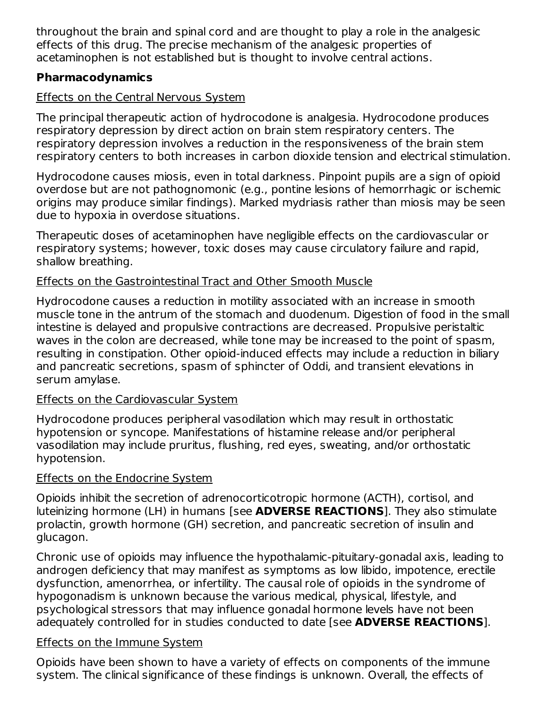throughout the brain and spinal cord and are thought to play a role in the analgesic effects of this drug. The precise mechanism of the analgesic properties of acetaminophen is not established but is thought to involve central actions.

## **Pharmacodynamics**

## Effects on the Central Nervous System

The principal therapeutic action of hydrocodone is analgesia. Hydrocodone produces respiratory depression by direct action on brain stem respiratory centers. The respiratory depression involves a reduction in the responsiveness of the brain stem respiratory centers to both increases in carbon dioxide tension and electrical stimulation.

Hydrocodone causes miosis, even in total darkness. Pinpoint pupils are a sign of opioid overdose but are not pathognomonic (e.g., pontine lesions of hemorrhagic or ischemic origins may produce similar findings). Marked mydriasis rather than miosis may be seen due to hypoxia in overdose situations.

Therapeutic doses of acetaminophen have negligible effects on the cardiovascular or respiratory systems; however, toxic doses may cause circulatory failure and rapid, shallow breathing.

## Effects on the Gastrointestinal Tract and Other Smooth Muscle

Hydrocodone causes a reduction in motility associated with an increase in smooth muscle tone in the antrum of the stomach and duodenum. Digestion of food in the small intestine is delayed and propulsive contractions are decreased. Propulsive peristaltic waves in the colon are decreased, while tone may be increased to the point of spasm, resulting in constipation. Other opioid-induced effects may include a reduction in biliary and pancreatic secretions, spasm of sphincter of Oddi, and transient elevations in serum amylase.

#### Effects on the Cardiovascular System

Hydrocodone produces peripheral vasodilation which may result in orthostatic hypotension or syncope. Manifestations of histamine release and/or peripheral vasodilation may include pruritus, flushing, red eyes, sweating, and/or orthostatic hypotension.

## Effects on the Endocrine System

Opioids inhibit the secretion of adrenocorticotropic hormone (ACTH), cortisol, and luteinizing hormone (LH) in humans [see **ADVERSE REACTIONS**]. They also stimulate prolactin, growth hormone (GH) secretion, and pancreatic secretion of insulin and glucagon.

Chronic use of opioids may influence the hypothalamic-pituitary-gonadal axis, leading to androgen deficiency that may manifest as symptoms as low libido, impotence, erectile dysfunction, amenorrhea, or infertility. The causal role of opioids in the syndrome of hypogonadism is unknown because the various medical, physical, lifestyle, and psychological stressors that may influence gonadal hormone levels have not been adequately controlled for in studies conducted to date [see **ADVERSE REACTIONS**].

#### Effects on the Immune System

Opioids have been shown to have a variety of effects on components of the immune system. The clinical significance of these findings is unknown. Overall, the effects of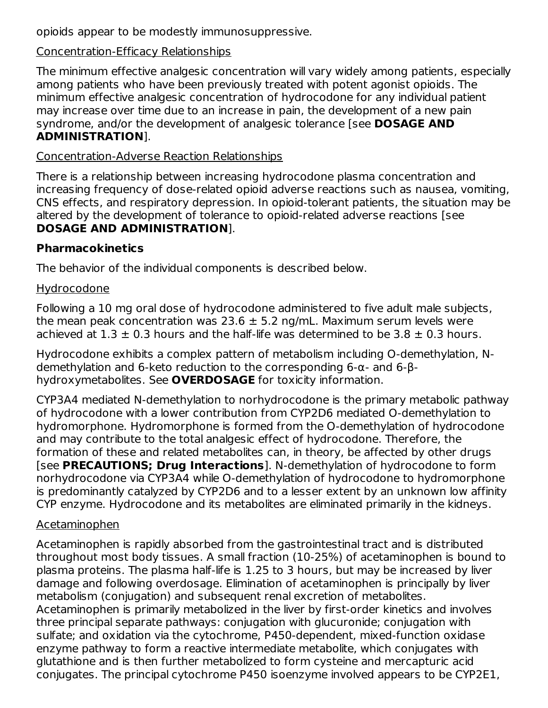opioids appear to be modestly immunosuppressive.

### Concentration-Efficacy Relationships

The minimum effective analgesic concentration will vary widely among patients, especially among patients who have been previously treated with potent agonist opioids. The minimum effective analgesic concentration of hydrocodone for any individual patient may increase over time due to an increase in pain, the development of a new pain syndrome, and/or the development of analgesic tolerance [see **DOSAGE AND ADMINISTRATION**].

### Concentration-Adverse Reaction Relationships

There is a relationship between increasing hydrocodone plasma concentration and increasing frequency of dose-related opioid adverse reactions such as nausea, vomiting, CNS effects, and respiratory depression. In opioid-tolerant patients, the situation may be altered by the development of tolerance to opioid-related adverse reactions [see **DOSAGE AND ADMINISTRATION**].

### **Pharmacokinetics**

The behavior of the individual components is described below.

### **Hydrocodone**

Following a 10 mg oral dose of hydrocodone administered to five adult male subjects, the mean peak concentration was  $23.6 \pm 5.2$  ng/mL. Maximum serum levels were achieved at  $1.3 \pm 0.3$  hours and the half-life was determined to be  $3.8 \pm 0.3$  hours.

Hydrocodone exhibits a complex pattern of metabolism including O-demethylation, Ndemethylation and 6-keto reduction to the corresponding 6-α- and 6-βhydroxymetabolites. See **OVERDOSAGE** for toxicity information.

CYP3A4 mediated N-demethylation to norhydrocodone is the primary metabolic pathway of hydrocodone with a lower contribution from CYP2D6 mediated O-demethylation to hydromorphone. Hydromorphone is formed from the O-demethylation of hydrocodone and may contribute to the total analgesic effect of hydrocodone. Therefore, the formation of these and related metabolites can, in theory, be affected by other drugs [see **PRECAUTIONS; Drug Interactions**]. N-demethylation of hydrocodone to form norhydrocodone via CYP3A4 while O-demethylation of hydrocodone to hydromorphone is predominantly catalyzed by CYP2D6 and to a lesser extent by an unknown low affinity CYP enzyme. Hydrocodone and its metabolites are eliminated primarily in the kidneys.

## Acetaminophen

Acetaminophen is rapidly absorbed from the gastrointestinal tract and is distributed throughout most body tissues. A small fraction (10-25%) of acetaminophen is bound to plasma proteins. The plasma half-life is 1.25 to 3 hours, but may be increased by liver damage and following overdosage. Elimination of acetaminophen is principally by liver metabolism (conjugation) and subsequent renal excretion of metabolites. Acetaminophen is primarily metabolized in the liver by first-order kinetics and involves three principal separate pathways: conjugation with glucuronide; conjugation with sulfate; and oxidation via the cytochrome, P450-dependent, mixed-function oxidase enzyme pathway to form a reactive intermediate metabolite, which conjugates with glutathione and is then further metabolized to form cysteine and mercapturic acid conjugates. The principal cytochrome P450 isoenzyme involved appears to be CYP2E1,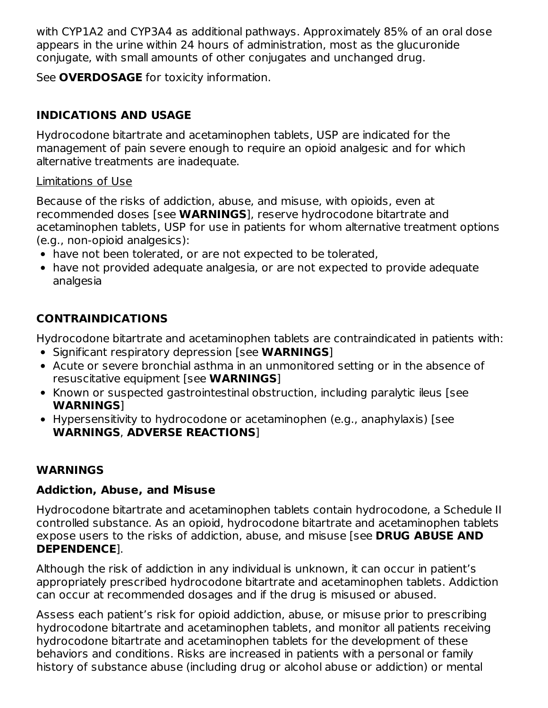with CYP1A2 and CYP3A4 as additional pathways. Approximately 85% of an oral dose appears in the urine within 24 hours of administration, most as the glucuronide conjugate, with small amounts of other conjugates and unchanged drug.

See **OVERDOSAGE** for toxicity information.

## **INDICATIONS AND USAGE**

Hydrocodone bitartrate and acetaminophen tablets, USP are indicated for the management of pain severe enough to require an opioid analgesic and for which alternative treatments are inadequate.

## Limitations of Use

Because of the risks of addiction, abuse, and misuse, with opioids, even at recommended doses [see **WARNINGS**], reserve hydrocodone bitartrate and acetaminophen tablets, USP for use in patients for whom alternative treatment options (e.g., non-opioid analgesics):

- have not been tolerated, or are not expected to be tolerated,
- have not provided adequate analgesia, or are not expected to provide adequate analgesia

# **CONTRAINDICATIONS**

Hydrocodone bitartrate and acetaminophen tablets are contraindicated in patients with:

- **Significant respiratory depression [see WARNINGS]**
- Acute or severe bronchial asthma in an unmonitored setting or in the absence of resuscitative equipment [see **WARNINGS**]
- Known or suspected gastrointestinal obstruction, including paralytic ileus [see **WARNINGS**]
- Hypersensitivity to hydrocodone or acetaminophen (e.g., anaphylaxis) [see **WARNINGS**, **ADVERSE REACTIONS**]

## **WARNINGS**

## **Addiction, Abuse, and Misuse**

Hydrocodone bitartrate and acetaminophen tablets contain hydrocodone, a Schedule II controlled substance. As an opioid, hydrocodone bitartrate and acetaminophen tablets expose users to the risks of addiction, abuse, and misuse [see **DRUG ABUSE AND DEPENDENCE**].

Although the risk of addiction in any individual is unknown, it can occur in patient's appropriately prescribed hydrocodone bitartrate and acetaminophen tablets. Addiction can occur at recommended dosages and if the drug is misused or abused.

Assess each patient's risk for opioid addiction, abuse, or misuse prior to prescribing hydrocodone bitartrate and acetaminophen tablets, and monitor all patients receiving hydrocodone bitartrate and acetaminophen tablets for the development of these behaviors and conditions. Risks are increased in patients with a personal or family history of substance abuse (including drug or alcohol abuse or addiction) or mental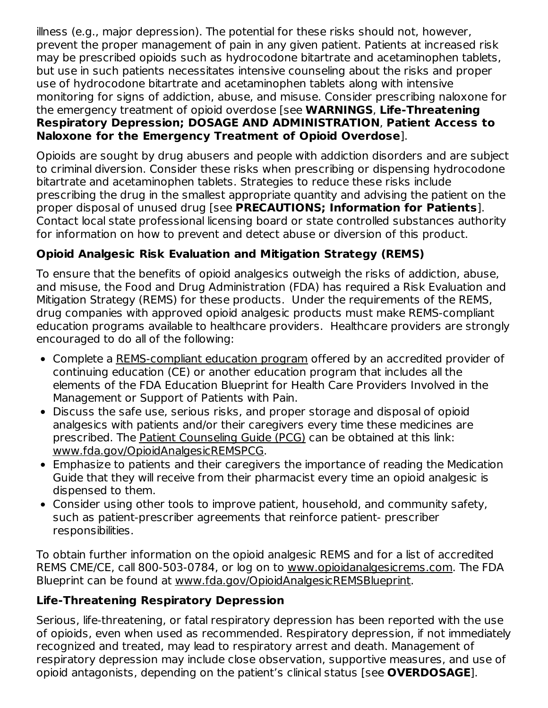illness (e.g., major depression). The potential for these risks should not, however, prevent the proper management of pain in any given patient. Patients at increased risk may be prescribed opioids such as hydrocodone bitartrate and acetaminophen tablets, but use in such patients necessitates intensive counseling about the risks and proper use of hydrocodone bitartrate and acetaminophen tablets along with intensive monitoring for signs of addiction, abuse, and misuse. Consider prescribing naloxone for the emergency treatment of opioid overdose [see **WARNINGS**, **Life-Threatening Respiratory Depression; DOSAGE AND ADMINISTRATION**, **Patient Access to Naloxone for the Emergency Treatment of Opioid Overdose**].

Opioids are sought by drug abusers and people with addiction disorders and are subject to criminal diversion. Consider these risks when prescribing or dispensing hydrocodone bitartrate and acetaminophen tablets. Strategies to reduce these risks include prescribing the drug in the smallest appropriate quantity and advising the patient on the proper disposal of unused drug [see **PRECAUTIONS; Information for Patients**]. Contact local state professional licensing board or state controlled substances authority for information on how to prevent and detect abuse or diversion of this product.

# **Opioid Analgesic Risk Evaluation and Mitigation Strategy (REMS)**

To ensure that the benefits of opioid analgesics outweigh the risks of addiction, abuse, and misuse, the Food and Drug Administration (FDA) has required a Risk Evaluation and Mitigation Strategy (REMS) for these products. Under the requirements of the REMS, drug companies with approved opioid analgesic products must make REMS-compliant education programs available to healthcare providers. Healthcare providers are strongly encouraged to do all of the following:

- Complete a REMS-compliant education program offered by an accredited provider of continuing education (CE) or another education program that includes all the elements of the FDA Education Blueprint for Health Care Providers Involved in the Management or Support of Patients with Pain.
- Discuss the safe use, serious risks, and proper storage and disposal of opioid analgesics with patients and/or their caregivers every time these medicines are prescribed. The Patient Counseling Guide (PCG) can be obtained at this link: www.fda.gov/OpioidAnalgesicREMSPCG.
- Emphasize to patients and their caregivers the importance of reading the Medication Guide that they will receive from their pharmacist every time an opioid analgesic is dispensed to them.
- Consider using other tools to improve patient, household, and community safety, such as patient-prescriber agreements that reinforce patient- prescriber responsibilities.

To obtain further information on the opioid analgesic REMS and for a list of accredited REMS CME/CE, call 800-503-0784, or log on to www.opioidanalgesicrems.com. The FDA Blueprint can be found at www.fda.gov/OpioidAnalgesicREMSBlueprint.

## **Life-Threatening Respiratory Depression**

Serious, life-threatening, or fatal respiratory depression has been reported with the use of opioids, even when used as recommended. Respiratory depression, if not immediately recognized and treated, may lead to respiratory arrest and death. Management of respiratory depression may include close observation, supportive measures, and use of opioid antagonists, depending on the patient's clinical status [see **OVERDOSAGE**].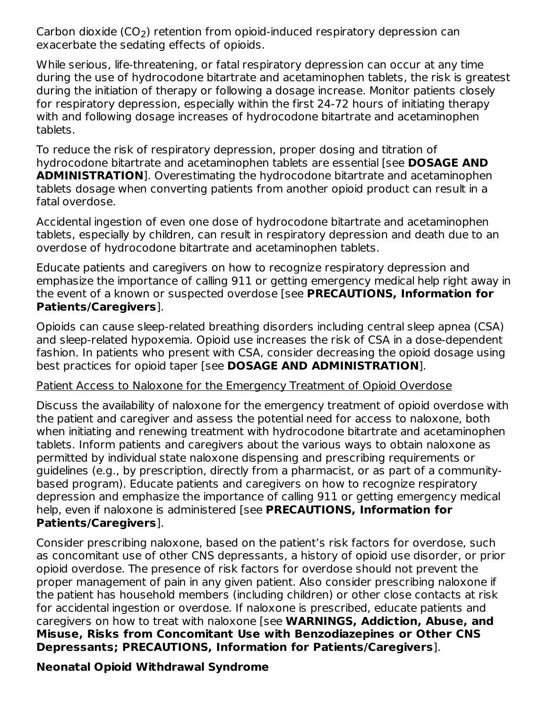Carbon dioxide (CO<sub>2</sub>) retention from opioid-induced respiratory depression can exacerbate the sedating effects of opioids.

While serious, life-threatening, or fatal respiratory depression can occur at any time during the use of hydrocodone bitartrate and acetaminophen tablets, the risk is greatest during the initiation of therapy or following a dosage increase. Monitor patients closely for respiratory depression, especially within the first 24-72 hours of initiating therapy with and following dosage increases of hydrocodone bitartrate and acetaminophen tablets.

To reduce the risk of respiratory depression, proper dosing and titration of hydrocodone bitartrate and acetaminophen tablets are essential [see **DOSAGE AND ADMINISTRATION**]. Overestimating the hydrocodone bitartrate and acetaminophen tablets dosage when converting patients from another opioid product can result in a fatal overdose.

Accidental ingestion of even one dose of hydrocodone bitartrate and acetaminophen tablets, especially by children, can result in respiratory depression and death due to an overdose of hydrocodone bitartrate and acetaminophen tablets.

Educate patients and caregivers on how to recognize respiratory depression and emphasize the importance of calling 911 or getting emergency medical help right away in the event of a known or suspected overdose [see **PRECAUTIONS, Information for Patients/Caregivers**].

Opioids can cause sleep-related breathing disorders including central sleep apnea (CSA) and sleep-related hypoxemia. Opioid use increases the risk of CSA in a dose-dependent fashion. In patients who present with CSA, consider decreasing the opioid dosage using best practices for opioid taper [see **DOSAGE AND ADMINISTRATION**].

#### Patient Access to Naloxone for the Emergency Treatment of Opioid Overdose

Discuss the availability of naloxone for the emergency treatment of opioid overdose with the patient and caregiver and assess the potential need for access to naloxone, both when initiating and renewing treatment with hydrocodone bitartrate and acetaminophen tablets. Inform patients and caregivers about the various ways to obtain naloxone as permitted by individual state naloxone dispensing and prescribing requirements or guidelines (e.g., by prescription, directly from a pharmacist, or as part of a communitybased program). Educate patients and caregivers on how to recognize respiratory depression and emphasize the importance of calling 911 or getting emergency medical help, even if naloxone is administered [see **PRECAUTIONS, Information for Patients/Caregivers**].

Consider prescribing naloxone, based on the patient's risk factors for overdose, such as concomitant use of other CNS depressants, a history of opioid use disorder, or prior opioid overdose. The presence of risk factors for overdose should not prevent the proper management of pain in any given patient. Also consider prescribing naloxone if the patient has household members (including children) or other close contacts at risk for accidental ingestion or overdose. If naloxone is prescribed, educate patients and caregivers on how to treat with naloxone [see **WARNINGS, Addiction, Abuse, and Misuse, Risks from Concomitant Use with Benzodiazepines or Other CNS Depressants; PRECAUTIONS, Information for Patients/Caregivers**].

# **Neonatal Opioid Withdrawal Syndrome**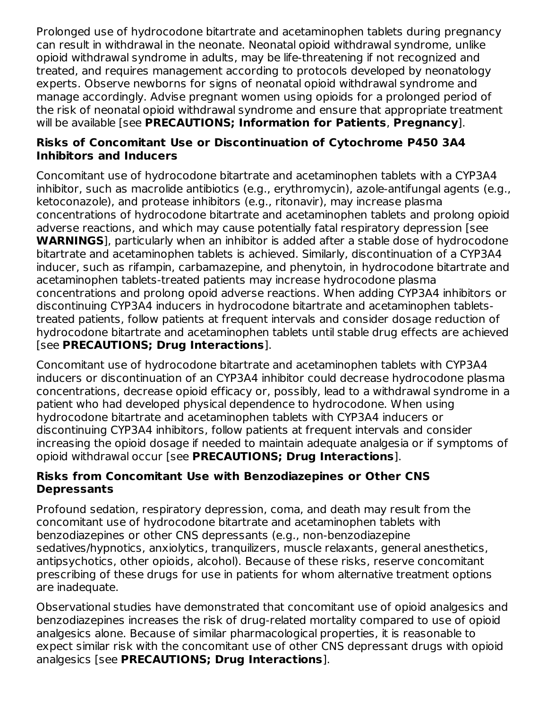Prolonged use of hydrocodone bitartrate and acetaminophen tablets during pregnancy can result in withdrawal in the neonate. Neonatal opioid withdrawal syndrome, unlike opioid withdrawal syndrome in adults, may be life-threatening if not recognized and treated, and requires management according to protocols developed by neonatology experts. Observe newborns for signs of neonatal opioid withdrawal syndrome and manage accordingly. Advise pregnant women using opioids for a prolonged period of the risk of neonatal opioid withdrawal syndrome and ensure that appropriate treatment will be available [see **PRECAUTIONS; Information for Patients**, **Pregnancy**].

### **Risks of Concomitant Use or Discontinuation of Cytochrome P450 3A4 Inhibitors and Inducers**

Concomitant use of hydrocodone bitartrate and acetaminophen tablets with a CYP3A4 inhibitor, such as macrolide antibiotics (e.g., erythromycin), azole-antifungal agents (e.g., ketoconazole), and protease inhibitors (e.g., ritonavir), may increase plasma concentrations of hydrocodone bitartrate and acetaminophen tablets and prolong opioid adverse reactions, and which may cause potentially fatal respiratory depression [see **WARNINGS**], particularly when an inhibitor is added after a stable dose of hydrocodone bitartrate and acetaminophen tablets is achieved. Similarly, discontinuation of a CYP3A4 inducer, such as rifampin, carbamazepine, and phenytoin, in hydrocodone bitartrate and acetaminophen tablets-treated patients may increase hydrocodone plasma concentrations and prolong opoid adverse reactions. When adding CYP3A4 inhibitors or discontinuing CYP3A4 inducers in hydrocodone bitartrate and acetaminophen tabletstreated patients, follow patients at frequent intervals and consider dosage reduction of hydrocodone bitartrate and acetaminophen tablets until stable drug effects are achieved [see **PRECAUTIONS; Drug Interactions**].

Concomitant use of hydrocodone bitartrate and acetaminophen tablets with CYP3A4 inducers or discontinuation of an CYP3A4 inhibitor could decrease hydrocodone plasma concentrations, decrease opioid efficacy or, possibly, lead to a withdrawal syndrome in a patient who had developed physical dependence to hydrocodone. When using hydrocodone bitartrate and acetaminophen tablets with CYP3A4 inducers or discontinuing CYP3A4 inhibitors, follow patients at frequent intervals and consider increasing the opioid dosage if needed to maintain adequate analgesia or if symptoms of opioid withdrawal occur [see **PRECAUTIONS; Drug Interactions**].

## **Risks from Concomitant Use with Benzodiazepines or Other CNS Depressants**

Profound sedation, respiratory depression, coma, and death may result from the concomitant use of hydrocodone bitartrate and acetaminophen tablets with benzodiazepines or other CNS depressants (e.g., non-benzodiazepine sedatives/hypnotics, anxiolytics, tranquilizers, muscle relaxants, general anesthetics, antipsychotics, other opioids, alcohol). Because of these risks, reserve concomitant prescribing of these drugs for use in patients for whom alternative treatment options are inadequate.

Observational studies have demonstrated that concomitant use of opioid analgesics and benzodiazepines increases the risk of drug-related mortality compared to use of opioid analgesics alone. Because of similar pharmacological properties, it is reasonable to expect similar risk with the concomitant use of other CNS depressant drugs with opioid analgesics [see **PRECAUTIONS; Drug Interactions**].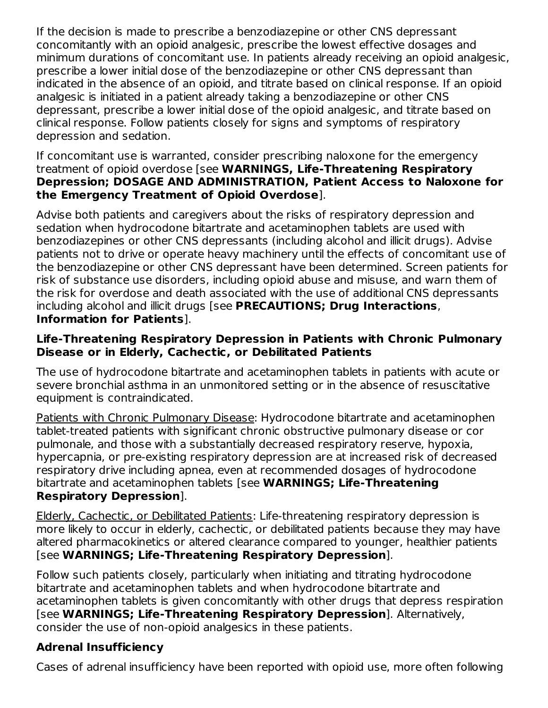If the decision is made to prescribe a benzodiazepine or other CNS depressant concomitantly with an opioid analgesic, prescribe the lowest effective dosages and minimum durations of concomitant use. In patients already receiving an opioid analgesic, prescribe a lower initial dose of the benzodiazepine or other CNS depressant than indicated in the absence of an opioid, and titrate based on clinical response. If an opioid analgesic is initiated in a patient already taking a benzodiazepine or other CNS depressant, prescribe a lower initial dose of the opioid analgesic, and titrate based on clinical response. Follow patients closely for signs and symptoms of respiratory depression and sedation.

#### If concomitant use is warranted, consider prescribing naloxone for the emergency treatment of opioid overdose [see **WARNINGS, Life-Threatening Respiratory Depression; DOSAGE AND ADMINISTRATION, Patient Access to Naloxone for the Emergency Treatment of Opioid Overdose**].

Advise both patients and caregivers about the risks of respiratory depression and sedation when hydrocodone bitartrate and acetaminophen tablets are used with benzodiazepines or other CNS depressants (including alcohol and illicit drugs). Advise patients not to drive or operate heavy machinery until the effects of concomitant use of the benzodiazepine or other CNS depressant have been determined. Screen patients for risk of substance use disorders, including opioid abuse and misuse, and warn them of the risk for overdose and death associated with the use of additional CNS depressants including alcohol and illicit drugs [see **PRECAUTIONS; Drug Interactions**, **Information for Patients**].

### **Life-Threatening Respiratory Depression in Patients with Chronic Pulmonary Disease or in Elderly, Cachectic, or Debilitated Patients**

The use of hydrocodone bitartrate and acetaminophen tablets in patients with acute or severe bronchial asthma in an unmonitored setting or in the absence of resuscitative equipment is contraindicated.

Patients with Chronic Pulmonary Disease: Hydrocodone bitartrate and acetaminophen tablet-treated patients with significant chronic obstructive pulmonary disease or cor pulmonale, and those with a substantially decreased respiratory reserve, hypoxia, hypercapnia, or pre-existing respiratory depression are at increased risk of decreased respiratory drive including apnea, even at recommended dosages of hydrocodone bitartrate and acetaminophen tablets [see **WARNINGS; Life-Threatening Respiratory Depression**].

#### Elderly, Cachectic, or Debilitated Patients: Life-threatening respiratory depression is more likely to occur in elderly, cachectic, or debilitated patients because they may have altered pharmacokinetics or altered clearance compared to younger, healthier patients [see **WARNINGS; Life-Threatening Respiratory Depression**].

Follow such patients closely, particularly when initiating and titrating hydrocodone bitartrate and acetaminophen tablets and when hydrocodone bitartrate and acetaminophen tablets is given concomitantly with other drugs that depress respiration [see **WARNINGS; Life-Threatening Respiratory Depression**]. Alternatively, consider the use of non-opioid analgesics in these patients.

# **Adrenal Insufficiency**

Cases of adrenal insufficiency have been reported with opioid use, more often following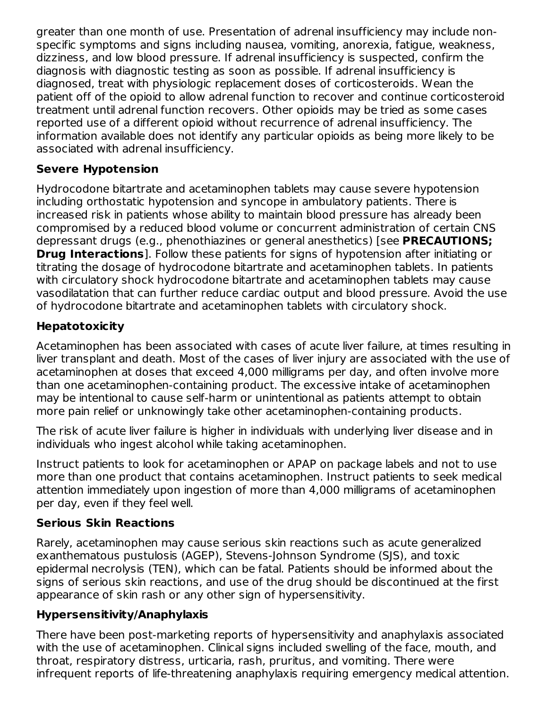greater than one month of use. Presentation of adrenal insufficiency may include nonspecific symptoms and signs including nausea, vomiting, anorexia, fatigue, weakness, dizziness, and low blood pressure. If adrenal insufficiency is suspected, confirm the diagnosis with diagnostic testing as soon as possible. If adrenal insufficiency is diagnosed, treat with physiologic replacement doses of corticosteroids. Wean the patient off of the opioid to allow adrenal function to recover and continue corticosteroid treatment until adrenal function recovers. Other opioids may be tried as some cases reported use of a different opioid without recurrence of adrenal insufficiency. The information available does not identify any particular opioids as being more likely to be associated with adrenal insufficiency.

## **Severe Hypotension**

Hydrocodone bitartrate and acetaminophen tablets may cause severe hypotension including orthostatic hypotension and syncope in ambulatory patients. There is increased risk in patients whose ability to maintain blood pressure has already been compromised by a reduced blood volume or concurrent administration of certain CNS depressant drugs (e.g., phenothiazines or general anesthetics) [see **PRECAUTIONS; Drug Interactions**]. Follow these patients for signs of hypotension after initiating or titrating the dosage of hydrocodone bitartrate and acetaminophen tablets. In patients with circulatory shock hydrocodone bitartrate and acetaminophen tablets may cause vasodilatation that can further reduce cardiac output and blood pressure. Avoid the use of hydrocodone bitartrate and acetaminophen tablets with circulatory shock.

# **Hepatotoxicity**

Acetaminophen has been associated with cases of acute liver failure, at times resulting in liver transplant and death. Most of the cases of liver injury are associated with the use of acetaminophen at doses that exceed 4,000 milligrams per day, and often involve more than one acetaminophen-containing product. The excessive intake of acetaminophen may be intentional to cause self-harm or unintentional as patients attempt to obtain more pain relief or unknowingly take other acetaminophen-containing products.

The risk of acute liver failure is higher in individuals with underlying liver disease and in individuals who ingest alcohol while taking acetaminophen.

Instruct patients to look for acetaminophen or APAP on package labels and not to use more than one product that contains acetaminophen. Instruct patients to seek medical attention immediately upon ingestion of more than 4,000 milligrams of acetaminophen per day, even if they feel well.

## **Serious Skin Reactions**

Rarely, acetaminophen may cause serious skin reactions such as acute generalized exanthematous pustulosis (AGEP), Stevens-Johnson Syndrome (SJS), and toxic epidermal necrolysis (TEN), which can be fatal. Patients should be informed about the signs of serious skin reactions, and use of the drug should be discontinued at the first appearance of skin rash or any other sign of hypersensitivity.

# **Hypersensitivity/Anaphylaxis**

There have been post-marketing reports of hypersensitivity and anaphylaxis associated with the use of acetaminophen. Clinical signs included swelling of the face, mouth, and throat, respiratory distress, urticaria, rash, pruritus, and vomiting. There were infrequent reports of life-threatening anaphylaxis requiring emergency medical attention.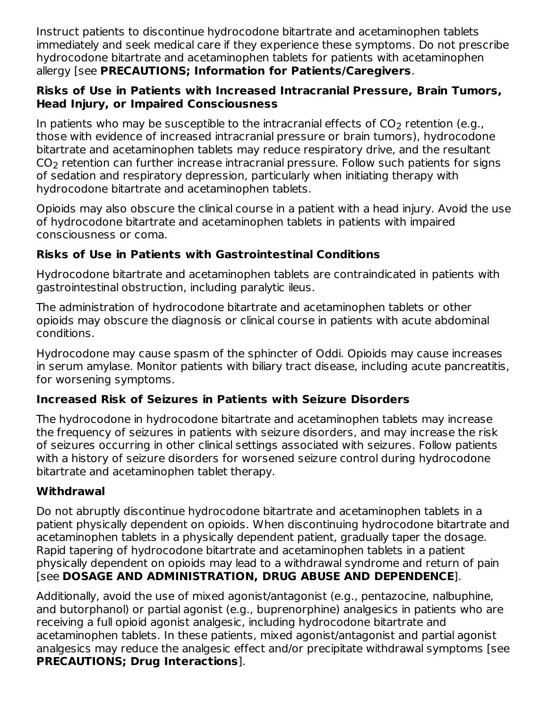Instruct patients to discontinue hydrocodone bitartrate and acetaminophen tablets immediately and seek medical care if they experience these symptoms. Do not prescribe hydrocodone bitartrate and acetaminophen tablets for patients with acetaminophen allergy [see **PRECAUTIONS; Information for Patients/Caregivers**.

### **Risks of Use in Patients with Increased Intracranial Pressure, Brain Tumors, Head Injury, or Impaired Consciousness**

In patients who may be susceptible to the intracranial effects of CO<sub>2</sub> retention (e.g., those with evidence of increased intracranial pressure or brain tumors), hydrocodone bitartrate and acetaminophen tablets may reduce respiratory drive, and the resultant  $\mathsf{CO}_2$  retention can further increase intracranial pressure. Follow such patients for signs of sedation and respiratory depression, particularly when initiating therapy with hydrocodone bitartrate and acetaminophen tablets.

Opioids may also obscure the clinical course in a patient with a head injury. Avoid the use of hydrocodone bitartrate and acetaminophen tablets in patients with impaired consciousness or coma.

## **Risks of Use in Patients with Gastrointestinal Conditions**

Hydrocodone bitartrate and acetaminophen tablets are contraindicated in patients with gastrointestinal obstruction, including paralytic ileus.

The administration of hydrocodone bitartrate and acetaminophen tablets or other opioids may obscure the diagnosis or clinical course in patients with acute abdominal conditions.

Hydrocodone may cause spasm of the sphincter of Oddi. Opioids may cause increases in serum amylase. Monitor patients with biliary tract disease, including acute pancreatitis, for worsening symptoms.

# **Increased Risk of Seizures in Patients with Seizure Disorders**

The hydrocodone in hydrocodone bitartrate and acetaminophen tablets may increase the frequency of seizures in patients with seizure disorders, and may increase the risk of seizures occurring in other clinical settings associated with seizures. Follow patients with a history of seizure disorders for worsened seizure control during hydrocodone bitartrate and acetaminophen tablet therapy.

## **Withdrawal**

Do not abruptly discontinue hydrocodone bitartrate and acetaminophen tablets in a patient physically dependent on opioids. When discontinuing hydrocodone bitartrate and acetaminophen tablets in a physically dependent patient, gradually taper the dosage. Rapid tapering of hydrocodone bitartrate and acetaminophen tablets in a patient physically dependent on opioids may lead to a withdrawal syndrome and return of pain [see **DOSAGE AND ADMINISTRATION, DRUG ABUSE AND DEPENDENCE**].

Additionally, avoid the use of mixed agonist/antagonist (e.g., pentazocine, nalbuphine, and butorphanol) or partial agonist (e.g., buprenorphine) analgesics in patients who are receiving a full opioid agonist analgesic, including hydrocodone bitartrate and acetaminophen tablets. In these patients, mixed agonist/antagonist and partial agonist analgesics may reduce the analgesic effect and/or precipitate withdrawal symptoms [see **PRECAUTIONS; Drug Interactions**].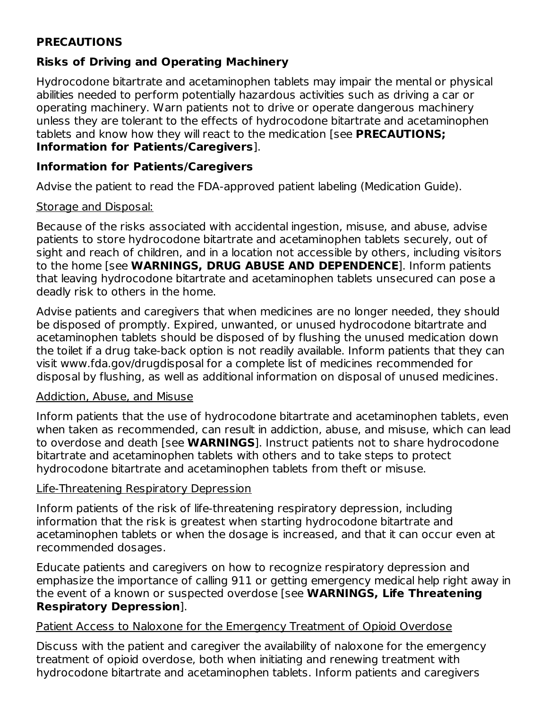## **PRECAUTIONS**

## **Risks of Driving and Operating Machinery**

Hydrocodone bitartrate and acetaminophen tablets may impair the mental or physical abilities needed to perform potentially hazardous activities such as driving a car or operating machinery. Warn patients not to drive or operate dangerous machinery unless they are tolerant to the effects of hydrocodone bitartrate and acetaminophen tablets and know how they will react to the medication [see **PRECAUTIONS; Information for Patients/Caregivers**].

### **Information for Patients/Caregivers**

Advise the patient to read the FDA-approved patient labeling (Medication Guide).

#### Storage and Disposal:

Because of the risks associated with accidental ingestion, misuse, and abuse, advise patients to store hydrocodone bitartrate and acetaminophen tablets securely, out of sight and reach of children, and in a location not accessible by others, including visitors to the home [see **WARNINGS, DRUG ABUSE AND DEPENDENCE**]. Inform patients that leaving hydrocodone bitartrate and acetaminophen tablets unsecured can pose a deadly risk to others in the home.

Advise patients and caregivers that when medicines are no longer needed, they should be disposed of promptly. Expired, unwanted, or unused hydrocodone bitartrate and acetaminophen tablets should be disposed of by flushing the unused medication down the toilet if a drug take-back option is not readily available. Inform patients that they can visit www.fda.gov/drugdisposal for a complete list of medicines recommended for disposal by flushing, as well as additional information on disposal of unused medicines.

#### Addiction, Abuse, and Misuse

Inform patients that the use of hydrocodone bitartrate and acetaminophen tablets, even when taken as recommended, can result in addiction, abuse, and misuse, which can lead to overdose and death [see **WARNINGS**]. Instruct patients not to share hydrocodone bitartrate and acetaminophen tablets with others and to take steps to protect hydrocodone bitartrate and acetaminophen tablets from theft or misuse.

#### Life-Threatening Respiratory Depression

Inform patients of the risk of life-threatening respiratory depression, including information that the risk is greatest when starting hydrocodone bitartrate and acetaminophen tablets or when the dosage is increased, and that it can occur even at recommended dosages.

Educate patients and caregivers on how to recognize respiratory depression and emphasize the importance of calling 911 or getting emergency medical help right away in the event of a known or suspected overdose [see **WARNINGS, Life Threatening Respiratory Depression**].

#### Patient Access to Naloxone for the Emergency Treatment of Opioid Overdose

Discuss with the patient and caregiver the availability of naloxone for the emergency treatment of opioid overdose, both when initiating and renewing treatment with hydrocodone bitartrate and acetaminophen tablets. Inform patients and caregivers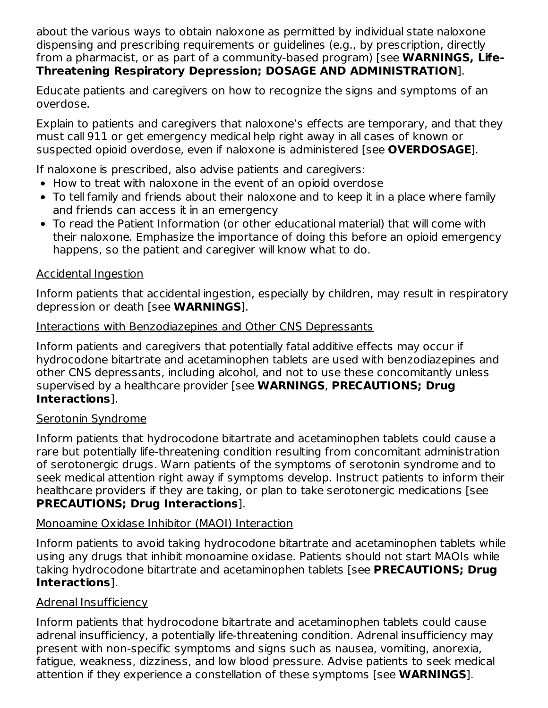about the various ways to obtain naloxone as permitted by individual state naloxone dispensing and prescribing requirements or guidelines (e.g., by prescription, directly from a pharmacist, or as part of a community-based program) [see **WARNINGS, Life-Threatening Respiratory Depression; DOSAGE AND ADMINISTRATION**].

Educate patients and caregivers on how to recognize the signs and symptoms of an overdose.

Explain to patients and caregivers that naloxone's effects are temporary, and that they must call 911 or get emergency medical help right away in all cases of known or suspected opioid overdose, even if naloxone is administered [see **OVERDOSAGE**].

If naloxone is prescribed, also advise patients and caregivers:

- How to treat with naloxone in the event of an opioid overdose
- To tell family and friends about their naloxone and to keep it in a place where family and friends can access it in an emergency
- To read the Patient Information (or other educational material) that will come with their naloxone. Emphasize the importance of doing this before an opioid emergency happens, so the patient and caregiver will know what to do.

### Accidental Ingestion

Inform patients that accidental ingestion, especially by children, may result in respiratory depression or death [see **WARNINGS**].

#### Interactions with Benzodiazepines and Other CNS Depressants

Inform patients and caregivers that potentially fatal additive effects may occur if hydrocodone bitartrate and acetaminophen tablets are used with benzodiazepines and other CNS depressants, including alcohol, and not to use these concomitantly unless supervised by a healthcare provider [see **WARNINGS**, **PRECAUTIONS; Drug Interactions**].

#### Serotonin Syndrome

Inform patients that hydrocodone bitartrate and acetaminophen tablets could cause a rare but potentially life-threatening condition resulting from concomitant administration of serotonergic drugs. Warn patients of the symptoms of serotonin syndrome and to seek medical attention right away if symptoms develop. Instruct patients to inform their healthcare providers if they are taking, or plan to take serotonergic medications [see **PRECAUTIONS; Drug Interactions**].

#### Monoamine Oxidase Inhibitor (MAOI) Interaction

Inform patients to avoid taking hydrocodone bitartrate and acetaminophen tablets while using any drugs that inhibit monoamine oxidase. Patients should not start MAOIs while taking hydrocodone bitartrate and acetaminophen tablets [see **PRECAUTIONS; Drug Interactions**].

#### Adrenal Insufficiency

Inform patients that hydrocodone bitartrate and acetaminophen tablets could cause adrenal insufficiency, a potentially life-threatening condition. Adrenal insufficiency may present with non-specific symptoms and signs such as nausea, vomiting, anorexia, fatigue, weakness, dizziness, and low blood pressure. Advise patients to seek medical attention if they experience a constellation of these symptoms [see **WARNINGS**].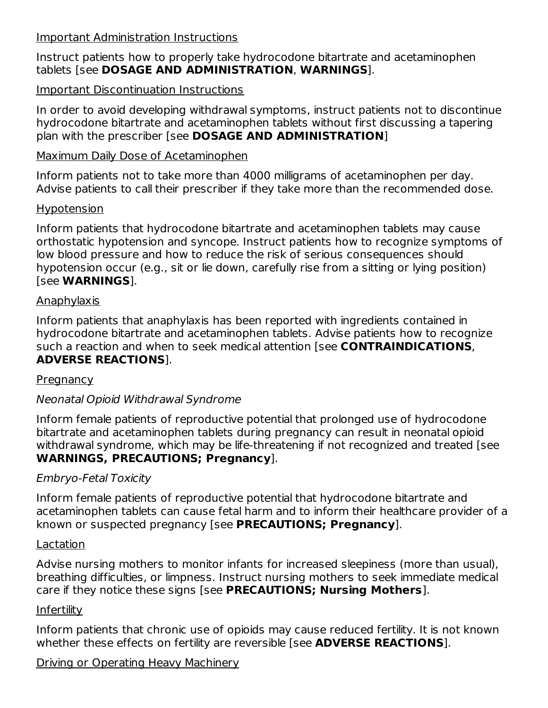#### Important Administration Instructions

Instruct patients how to properly take hydrocodone bitartrate and acetaminophen tablets [see **DOSAGE AND ADMINISTRATION**, **WARNINGS**].

### Important Discontinuation Instructions

In order to avoid developing withdrawal symptoms, instruct patients not to discontinue hydrocodone bitartrate and acetaminophen tablets without first discussing a tapering plan with the prescriber [see **DOSAGE AND ADMINISTRATION**]

#### Maximum Daily Dose of Acetaminophen

Inform patients not to take more than 4000 milligrams of acetaminophen per day. Advise patients to call their prescriber if they take more than the recommended dose.

#### Hypotension

Inform patients that hydrocodone bitartrate and acetaminophen tablets may cause orthostatic hypotension and syncope. Instruct patients how to recognize symptoms of low blood pressure and how to reduce the risk of serious consequences should hypotension occur (e.g., sit or lie down, carefully rise from a sitting or lying position) [see **WARNINGS**].

#### Anaphylaxis

Inform patients that anaphylaxis has been reported with ingredients contained in hydrocodone bitartrate and acetaminophen tablets. Advise patients how to recognize such a reaction and when to seek medical attention [see **CONTRAINDICATIONS**, **ADVERSE REACTIONS**].

#### **Pregnancy**

## Neonatal Opioid Withdrawal Syndrome

Inform female patients of reproductive potential that prolonged use of hydrocodone bitartrate and acetaminophen tablets during pregnancy can result in neonatal opioid withdrawal syndrome, which may be life-threatening if not recognized and treated [see **WARNINGS, PRECAUTIONS; Pregnancy**].

#### Embryo-Fetal Toxicity

Inform female patients of reproductive potential that hydrocodone bitartrate and acetaminophen tablets can cause fetal harm and to inform their healthcare provider of a known or suspected pregnancy [see **PRECAUTIONS; Pregnancy**].

#### Lactation

Advise nursing mothers to monitor infants for increased sleepiness (more than usual), breathing difficulties, or limpness. Instruct nursing mothers to seek immediate medical care if they notice these signs [see **PRECAUTIONS; Nursing Mothers**].

#### Infertility

Inform patients that chronic use of opioids may cause reduced fertility. It is not known whether these effects on fertility are reversible [see **ADVERSE REACTIONS**].

#### Driving or Operating Heavy Machinery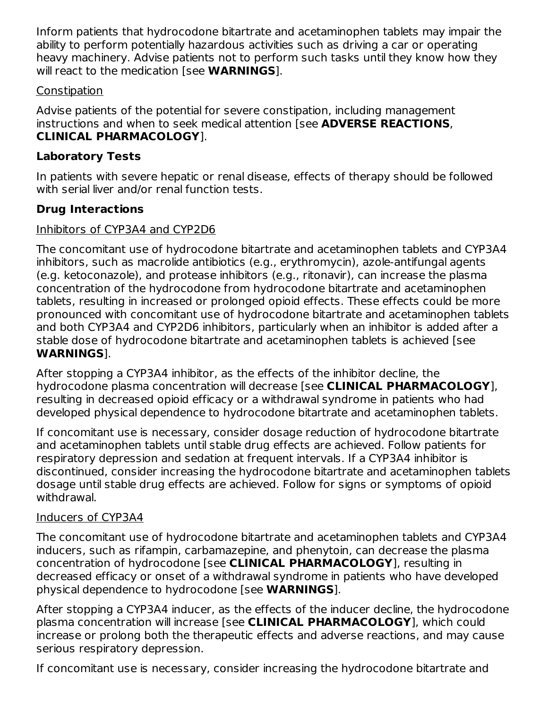Inform patients that hydrocodone bitartrate and acetaminophen tablets may impair the ability to perform potentially hazardous activities such as driving a car or operating heavy machinery. Advise patients not to perform such tasks until they know how they will react to the medication [see **WARNINGS**].

### **Constipation**

Advise patients of the potential for severe constipation, including management instructions and when to seek medical attention [see **ADVERSE REACTIONS**, **CLINICAL PHARMACOLOGY**].

## **Laboratory Tests**

In patients with severe hepatic or renal disease, effects of therapy should be followed with serial liver and/or renal function tests.

# **Drug Interactions**

### Inhibitors of CYP3A4 and CYP2D6

The concomitant use of hydrocodone bitartrate and acetaminophen tablets and CYP3A4 inhibitors, such as macrolide antibiotics (e.g., erythromycin), azole-antifungal agents (e.g. ketoconazole), and protease inhibitors (e.g., ritonavir), can increase the plasma concentration of the hydrocodone from hydrocodone bitartrate and acetaminophen tablets, resulting in increased or prolonged opioid effects. These effects could be more pronounced with concomitant use of hydrocodone bitartrate and acetaminophen tablets and both CYP3A4 and CYP2D6 inhibitors, particularly when an inhibitor is added after a stable dose of hydrocodone bitartrate and acetaminophen tablets is achieved [see **WARNINGS**].

After stopping a CYP3A4 inhibitor, as the effects of the inhibitor decline, the hydrocodone plasma concentration will decrease [see **CLINICAL PHARMACOLOGY**], resulting in decreased opioid efficacy or a withdrawal syndrome in patients who had developed physical dependence to hydrocodone bitartrate and acetaminophen tablets.

If concomitant use is necessary, consider dosage reduction of hydrocodone bitartrate and acetaminophen tablets until stable drug effects are achieved. Follow patients for respiratory depression and sedation at frequent intervals. If a CYP3A4 inhibitor is discontinued, consider increasing the hydrocodone bitartrate and acetaminophen tablets dosage until stable drug effects are achieved. Follow for signs or symptoms of opioid withdrawal.

## Inducers of CYP3A4

The concomitant use of hydrocodone bitartrate and acetaminophen tablets and CYP3A4 inducers, such as rifampin, carbamazepine, and phenytoin, can decrease the plasma concentration of hydrocodone [see **CLINICAL PHARMACOLOGY**], resulting in decreased efficacy or onset of a withdrawal syndrome in patients who have developed physical dependence to hydrocodone [see **WARNINGS**].

After stopping a CYP3A4 inducer, as the effects of the inducer decline, the hydrocodone plasma concentration will increase [see **CLINICAL PHARMACOLOGY**], which could increase or prolong both the therapeutic effects and adverse reactions, and may cause serious respiratory depression.

If concomitant use is necessary, consider increasing the hydrocodone bitartrate and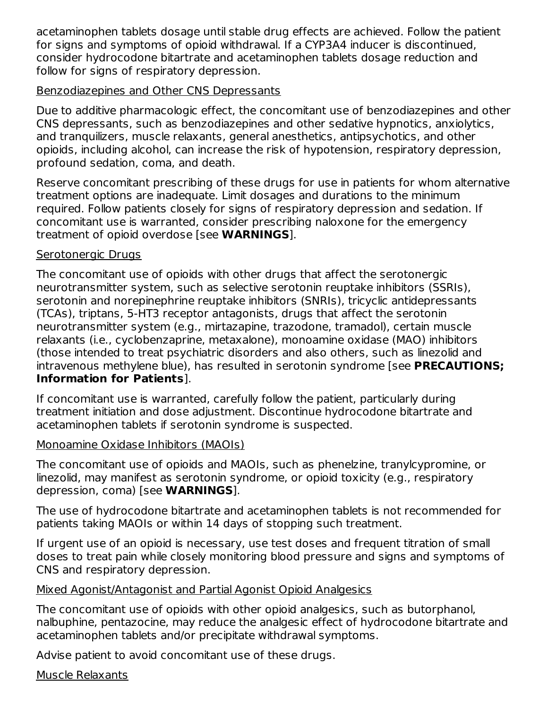acetaminophen tablets dosage until stable drug effects are achieved. Follow the patient for signs and symptoms of opioid withdrawal. If a CYP3A4 inducer is discontinued, consider hydrocodone bitartrate and acetaminophen tablets dosage reduction and follow for signs of respiratory depression.

#### Benzodiazepines and Other CNS Depressants

Due to additive pharmacologic effect, the concomitant use of benzodiazepines and other CNS depressants, such as benzodiazepines and other sedative hypnotics, anxiolytics, and tranquilizers, muscle relaxants, general anesthetics, antipsychotics, and other opioids, including alcohol, can increase the risk of hypotension, respiratory depression, profound sedation, coma, and death.

Reserve concomitant prescribing of these drugs for use in patients for whom alternative treatment options are inadequate. Limit dosages and durations to the minimum required. Follow patients closely for signs of respiratory depression and sedation. If concomitant use is warranted, consider prescribing naloxone for the emergency treatment of opioid overdose [see **WARNINGS**].

#### Serotonergic Drugs

The concomitant use of opioids with other drugs that affect the serotonergic neurotransmitter system, such as selective serotonin reuptake inhibitors (SSRIs), serotonin and norepinephrine reuptake inhibitors (SNRIs), tricyclic antidepressants (TCAs), triptans, 5-HT3 receptor antagonists, drugs that affect the serotonin neurotransmitter system (e.g., mirtazapine, trazodone, tramadol), certain muscle relaxants (i.e., cyclobenzaprine, metaxalone), monoamine oxidase (MAO) inhibitors (those intended to treat psychiatric disorders and also others, such as linezolid and intravenous methylene blue), has resulted in serotonin syndrome [see **PRECAUTIONS; Information for Patients**].

If concomitant use is warranted, carefully follow the patient, particularly during treatment initiation and dose adjustment. Discontinue hydrocodone bitartrate and acetaminophen tablets if serotonin syndrome is suspected.

#### Monoamine Oxidase Inhibitors (MAOIs)

The concomitant use of opioids and MAOIs, such as phenelzine, tranylcypromine, or linezolid, may manifest as serotonin syndrome, or opioid toxicity (e.g., respiratory depression, coma) [see **WARNINGS**].

The use of hydrocodone bitartrate and acetaminophen tablets is not recommended for patients taking MAOIs or within 14 days of stopping such treatment.

If urgent use of an opioid is necessary, use test doses and frequent titration of small doses to treat pain while closely monitoring blood pressure and signs and symptoms of CNS and respiratory depression.

#### Mixed Agonist/Antagonist and Partial Agonist Opioid Analgesics

The concomitant use of opioids with other opioid analgesics, such as butorphanol, nalbuphine, pentazocine, may reduce the analgesic effect of hydrocodone bitartrate and acetaminophen tablets and/or precipitate withdrawal symptoms.

Advise patient to avoid concomitant use of these drugs.

Muscle Relaxants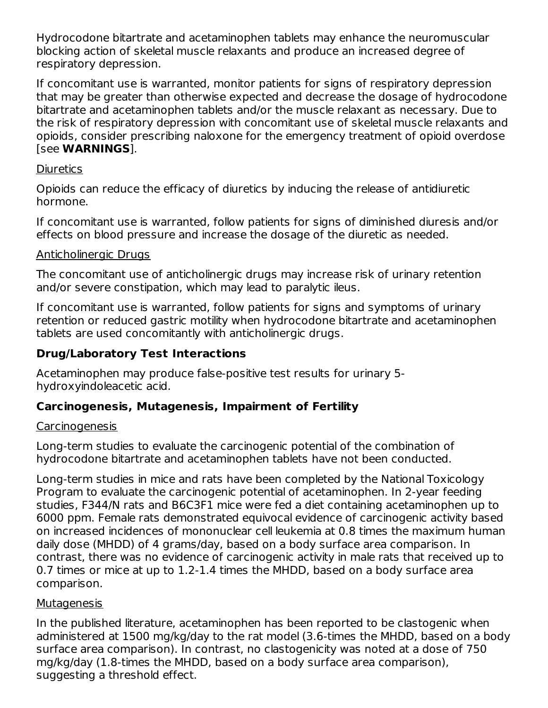Hydrocodone bitartrate and acetaminophen tablets may enhance the neuromuscular blocking action of skeletal muscle relaxants and produce an increased degree of respiratory depression.

If concomitant use is warranted, monitor patients for signs of respiratory depression that may be greater than otherwise expected and decrease the dosage of hydrocodone bitartrate and acetaminophen tablets and/or the muscle relaxant as necessary. Due to the risk of respiratory depression with concomitant use of skeletal muscle relaxants and opioids, consider prescribing naloxone for the emergency treatment of opioid overdose [see **WARNINGS**].

#### **Diuretics**

Opioids can reduce the efficacy of diuretics by inducing the release of antidiuretic hormone.

If concomitant use is warranted, follow patients for signs of diminished diuresis and/or effects on blood pressure and increase the dosage of the diuretic as needed.

## Anticholinergic Drugs

The concomitant use of anticholinergic drugs may increase risk of urinary retention and/or severe constipation, which may lead to paralytic ileus.

If concomitant use is warranted, follow patients for signs and symptoms of urinary retention or reduced gastric motility when hydrocodone bitartrate and acetaminophen tablets are used concomitantly with anticholinergic drugs.

## **Drug/Laboratory Test Interactions**

Acetaminophen may produce false-positive test results for urinary 5 hydroxyindoleacetic acid.

## **Carcinogenesis, Mutagenesis, Impairment of Fertility**

#### Carcinogenesis

Long-term studies to evaluate the carcinogenic potential of the combination of hydrocodone bitartrate and acetaminophen tablets have not been conducted.

Long-term studies in mice and rats have been completed by the National Toxicology Program to evaluate the carcinogenic potential of acetaminophen. In 2-year feeding studies, F344/N rats and B6C3F1 mice were fed a diet containing acetaminophen up to 6000 ppm. Female rats demonstrated equivocal evidence of carcinogenic activity based on increased incidences of mononuclear cell leukemia at 0.8 times the maximum human daily dose (MHDD) of 4 grams/day, based on a body surface area comparison. In contrast, there was no evidence of carcinogenic activity in male rats that received up to 0.7 times or mice at up to 1.2-1.4 times the MHDD, based on a body surface area comparison.

#### Mutagenesis

In the published literature, acetaminophen has been reported to be clastogenic when administered at 1500 mg/kg/day to the rat model (3.6-times the MHDD, based on a body surface area comparison). In contrast, no clastogenicity was noted at a dose of 750 mg/kg/day (1.8-times the MHDD, based on a body surface area comparison), suggesting a threshold effect.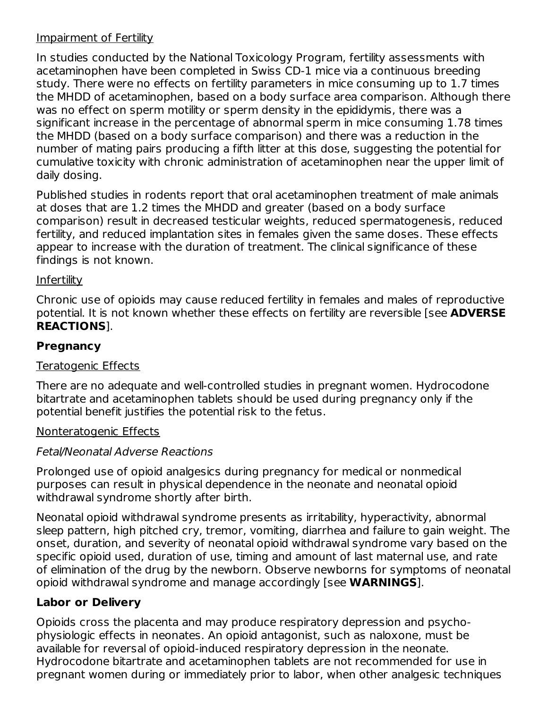#### Impairment of Fertility

In studies conducted by the National Toxicology Program, fertility assessments with acetaminophen have been completed in Swiss CD-1 mice via a continuous breeding study. There were no effects on fertility parameters in mice consuming up to 1.7 times the MHDD of acetaminophen, based on a body surface area comparison. Although there was no effect on sperm motility or sperm density in the epididymis, there was a significant increase in the percentage of abnormal sperm in mice consuming 1.78 times the MHDD (based on a body surface comparison) and there was a reduction in the number of mating pairs producing a fifth litter at this dose, suggesting the potential for cumulative toxicity with chronic administration of acetaminophen near the upper limit of daily dosing.

Published studies in rodents report that oral acetaminophen treatment of male animals at doses that are 1.2 times the MHDD and greater (based on a body surface comparison) result in decreased testicular weights, reduced spermatogenesis, reduced fertility, and reduced implantation sites in females given the same doses. These effects appear to increase with the duration of treatment. The clinical significance of these findings is not known.

#### **Infertility**

Chronic use of opioids may cause reduced fertility in females and males of reproductive potential. It is not known whether these effects on fertility are reversible [see **ADVERSE REACTIONS**].

## **Pregnancy**

## Teratogenic Effects

There are no adequate and well-controlled studies in pregnant women. Hydrocodone bitartrate and acetaminophen tablets should be used during pregnancy only if the potential benefit justifies the potential risk to the fetus.

## Nonteratogenic Effects

## Fetal/Neonatal Adverse Reactions

Prolonged use of opioid analgesics during pregnancy for medical or nonmedical purposes can result in physical dependence in the neonate and neonatal opioid withdrawal syndrome shortly after birth.

Neonatal opioid withdrawal syndrome presents as irritability, hyperactivity, abnormal sleep pattern, high pitched cry, tremor, vomiting, diarrhea and failure to gain weight. The onset, duration, and severity of neonatal opioid withdrawal syndrome vary based on the specific opioid used, duration of use, timing and amount of last maternal use, and rate of elimination of the drug by the newborn. Observe newborns for symptoms of neonatal opioid withdrawal syndrome and manage accordingly [see **WARNINGS**].

## **Labor or Delivery**

Opioids cross the placenta and may produce respiratory depression and psychophysiologic effects in neonates. An opioid antagonist, such as naloxone, must be available for reversal of opioid-induced respiratory depression in the neonate. Hydrocodone bitartrate and acetaminophen tablets are not recommended for use in pregnant women during or immediately prior to labor, when other analgesic techniques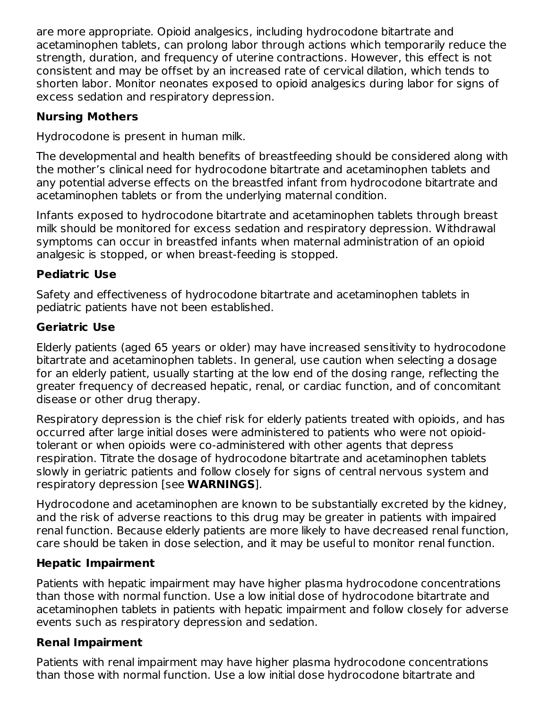are more appropriate. Opioid analgesics, including hydrocodone bitartrate and acetaminophen tablets, can prolong labor through actions which temporarily reduce the strength, duration, and frequency of uterine contractions. However, this effect is not consistent and may be offset by an increased rate of cervical dilation, which tends to shorten labor. Monitor neonates exposed to opioid analgesics during labor for signs of excess sedation and respiratory depression.

## **Nursing Mothers**

Hydrocodone is present in human milk.

The developmental and health benefits of breastfeeding should be considered along with the mother's clinical need for hydrocodone bitartrate and acetaminophen tablets and any potential adverse effects on the breastfed infant from hydrocodone bitartrate and acetaminophen tablets or from the underlying maternal condition.

Infants exposed to hydrocodone bitartrate and acetaminophen tablets through breast milk should be monitored for excess sedation and respiratory depression. Withdrawal symptoms can occur in breastfed infants when maternal administration of an opioid analgesic is stopped, or when breast-feeding is stopped.

# **Pediatric Use**

Safety and effectiveness of hydrocodone bitartrate and acetaminophen tablets in pediatric patients have not been established.

## **Geriatric Use**

Elderly patients (aged 65 years or older) may have increased sensitivity to hydrocodone bitartrate and acetaminophen tablets. In general, use caution when selecting a dosage for an elderly patient, usually starting at the low end of the dosing range, reflecting the greater frequency of decreased hepatic, renal, or cardiac function, and of concomitant disease or other drug therapy.

Respiratory depression is the chief risk for elderly patients treated with opioids, and has occurred after large initial doses were administered to patients who were not opioidtolerant or when opioids were co-administered with other agents that depress respiration. Titrate the dosage of hydrocodone bitartrate and acetaminophen tablets slowly in geriatric patients and follow closely for signs of central nervous system and respiratory depression [see **WARNINGS**].

Hydrocodone and acetaminophen are known to be substantially excreted by the kidney, and the risk of adverse reactions to this drug may be greater in patients with impaired renal function. Because elderly patients are more likely to have decreased renal function, care should be taken in dose selection, and it may be useful to monitor renal function.

# **Hepatic Impairment**

Patients with hepatic impairment may have higher plasma hydrocodone concentrations than those with normal function. Use a low initial dose of hydrocodone bitartrate and acetaminophen tablets in patients with hepatic impairment and follow closely for adverse events such as respiratory depression and sedation.

# **Renal Impairment**

Patients with renal impairment may have higher plasma hydrocodone concentrations than those with normal function. Use a low initial dose hydrocodone bitartrate and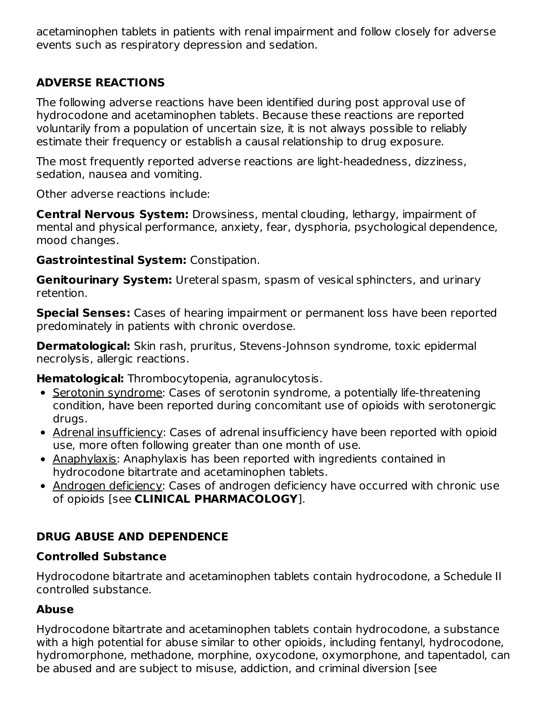acetaminophen tablets in patients with renal impairment and follow closely for adverse events such as respiratory depression and sedation.

## **ADVERSE REACTIONS**

The following adverse reactions have been identified during post approval use of hydrocodone and acetaminophen tablets. Because these reactions are reported voluntarily from a population of uncertain size, it is not always possible to reliably estimate their frequency or establish a causal relationship to drug exposure.

The most frequently reported adverse reactions are light-headedness, dizziness, sedation, nausea and vomiting.

Other adverse reactions include:

**Central Nervous System:** Drowsiness, mental clouding, lethargy, impairment of mental and physical performance, anxiety, fear, dysphoria, psychological dependence, mood changes.

#### **Gastrointestinal System:** Constipation.

**Genitourinary System:** Ureteral spasm, spasm of vesical sphincters, and urinary retention.

**Special Senses:** Cases of hearing impairment or permanent loss have been reported predominately in patients with chronic overdose.

**Dermatological:** Skin rash, pruritus, Stevens-Johnson syndrome, toxic epidermal necrolysis, allergic reactions.

**Hematological:** Thrombocytopenia, agranulocytosis.

- Serotonin syndrome: Cases of serotonin syndrome, a potentially life-threatening condition, have been reported during concomitant use of opioids with serotonergic drugs.
- Adrenal insufficiency: Cases of adrenal insufficiency have been reported with opioid use, more often following greater than one month of use.
- Anaphylaxis: Anaphylaxis has been reported with ingredients contained in hydrocodone bitartrate and acetaminophen tablets.
- Androgen deficiency: Cases of androgen deficiency have occurred with chronic use of opioids [see **CLINICAL PHARMACOLOGY**].

# **DRUG ABUSE AND DEPENDENCE**

#### **Controlled Substance**

Hydrocodone bitartrate and acetaminophen tablets contain hydrocodone, a Schedule II controlled substance.

## **Abuse**

Hydrocodone bitartrate and acetaminophen tablets contain hydrocodone, a substance with a high potential for abuse similar to other opioids, including fentanyl, hydrocodone, hydromorphone, methadone, morphine, oxycodone, oxymorphone, and tapentadol, can be abused and are subject to misuse, addiction, and criminal diversion [see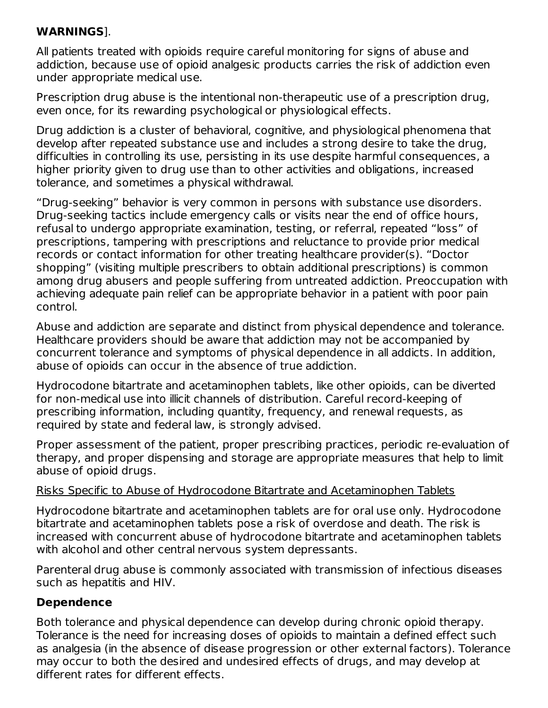### **WARNINGS**].

All patients treated with opioids require careful monitoring for signs of abuse and addiction, because use of opioid analgesic products carries the risk of addiction even under appropriate medical use.

Prescription drug abuse is the intentional non-therapeutic use of a prescription drug, even once, for its rewarding psychological or physiological effects.

Drug addiction is a cluster of behavioral, cognitive, and physiological phenomena that develop after repeated substance use and includes a strong desire to take the drug, difficulties in controlling its use, persisting in its use despite harmful consequences, a higher priority given to drug use than to other activities and obligations, increased tolerance, and sometimes a physical withdrawal.

"Drug-seeking" behavior is very common in persons with substance use disorders. Drug-seeking tactics include emergency calls or visits near the end of office hours, refusal to undergo appropriate examination, testing, or referral, repeated "loss" of prescriptions, tampering with prescriptions and reluctance to provide prior medical records or contact information for other treating healthcare provider(s). "Doctor shopping" (visiting multiple prescribers to obtain additional prescriptions) is common among drug abusers and people suffering from untreated addiction. Preoccupation with achieving adequate pain relief can be appropriate behavior in a patient with poor pain control.

Abuse and addiction are separate and distinct from physical dependence and tolerance. Healthcare providers should be aware that addiction may not be accompanied by concurrent tolerance and symptoms of physical dependence in all addicts. In addition, abuse of opioids can occur in the absence of true addiction.

Hydrocodone bitartrate and acetaminophen tablets, like other opioids, can be diverted for non-medical use into illicit channels of distribution. Careful record-keeping of prescribing information, including quantity, frequency, and renewal requests, as required by state and federal law, is strongly advised.

Proper assessment of the patient, proper prescribing practices, periodic re-evaluation of therapy, and proper dispensing and storage are appropriate measures that help to limit abuse of opioid drugs.

#### Risks Specific to Abuse of Hydrocodone Bitartrate and Acetaminophen Tablets

Hydrocodone bitartrate and acetaminophen tablets are for oral use only. Hydrocodone bitartrate and acetaminophen tablets pose a risk of overdose and death. The risk is increased with concurrent abuse of hydrocodone bitartrate and acetaminophen tablets with alcohol and other central nervous system depressants.

Parenteral drug abuse is commonly associated with transmission of infectious diseases such as hepatitis and HIV.

## **Dependence**

Both tolerance and physical dependence can develop during chronic opioid therapy. Tolerance is the need for increasing doses of opioids to maintain a defined effect such as analgesia (in the absence of disease progression or other external factors). Tolerance may occur to both the desired and undesired effects of drugs, and may develop at different rates for different effects.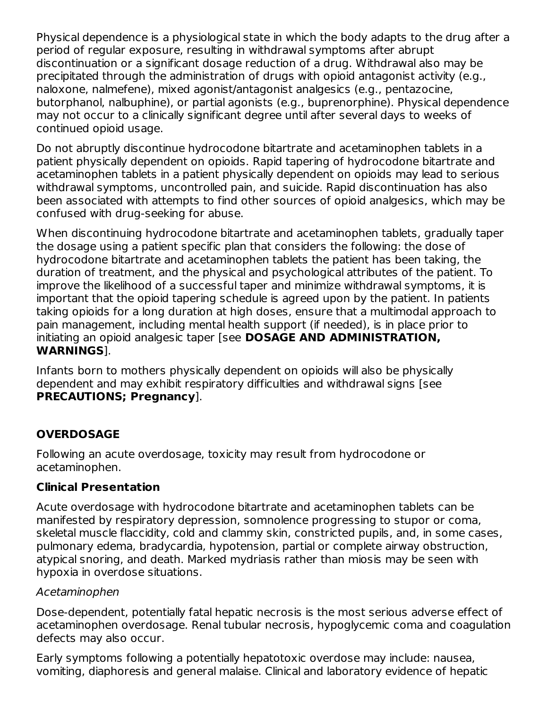Physical dependence is a physiological state in which the body adapts to the drug after a period of regular exposure, resulting in withdrawal symptoms after abrupt discontinuation or a significant dosage reduction of a drug. Withdrawal also may be precipitated through the administration of drugs with opioid antagonist activity (e.g., naloxone, nalmefene), mixed agonist/antagonist analgesics (e.g., pentazocine, butorphanol, nalbuphine), or partial agonists (e.g., buprenorphine). Physical dependence may not occur to a clinically significant degree until after several days to weeks of continued opioid usage.

Do not abruptly discontinue hydrocodone bitartrate and acetaminophen tablets in a patient physically dependent on opioids. Rapid tapering of hydrocodone bitartrate and acetaminophen tablets in a patient physically dependent on opioids may lead to serious withdrawal symptoms, uncontrolled pain, and suicide. Rapid discontinuation has also been associated with attempts to find other sources of opioid analgesics, which may be confused with drug-seeking for abuse.

When discontinuing hydrocodone bitartrate and acetaminophen tablets, gradually taper the dosage using a patient specific plan that considers the following: the dose of hydrocodone bitartrate and acetaminophen tablets the patient has been taking, the duration of treatment, and the physical and psychological attributes of the patient. To improve the likelihood of a successful taper and minimize withdrawal symptoms, it is important that the opioid tapering schedule is agreed upon by the patient. In patients taking opioids for a long duration at high doses, ensure that a multimodal approach to pain management, including mental health support (if needed), is in place prior to initiating an opioid analgesic taper [see **DOSAGE AND ADMINISTRATION, WARNINGS**].

Infants born to mothers physically dependent on opioids will also be physically dependent and may exhibit respiratory difficulties and withdrawal signs [see **PRECAUTIONS; Pregnancy**].

## **OVERDOSAGE**

Following an acute overdosage, toxicity may result from hydrocodone or acetaminophen.

## **Clinical Presentation**

Acute overdosage with hydrocodone bitartrate and acetaminophen tablets can be manifested by respiratory depression, somnolence progressing to stupor or coma, skeletal muscle flaccidity, cold and clammy skin, constricted pupils, and, in some cases, pulmonary edema, bradycardia, hypotension, partial or complete airway obstruction, atypical snoring, and death. Marked mydriasis rather than miosis may be seen with hypoxia in overdose situations.

#### Acetaminophen

Dose-dependent, potentially fatal hepatic necrosis is the most serious adverse effect of acetaminophen overdosage. Renal tubular necrosis, hypoglycemic coma and coagulation defects may also occur.

Early symptoms following a potentially hepatotoxic overdose may include: nausea, vomiting, diaphoresis and general malaise. Clinical and laboratory evidence of hepatic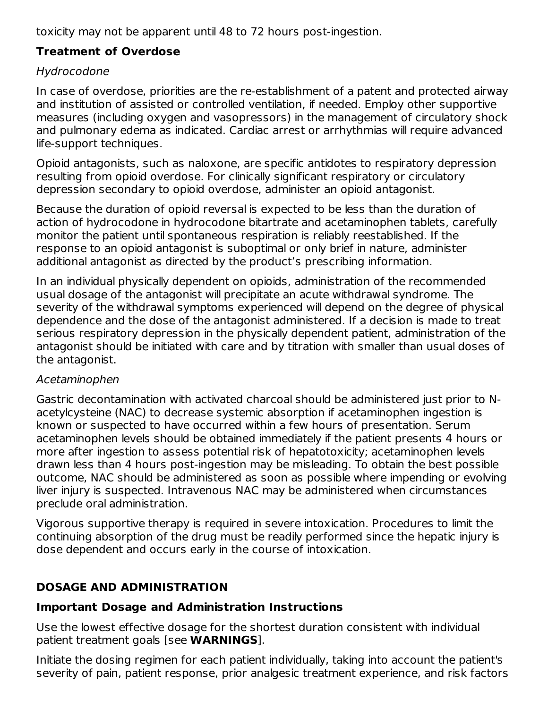toxicity may not be apparent until 48 to 72 hours post-ingestion.

## **Treatment of Overdose**

## Hydrocodone

In case of overdose, priorities are the re-establishment of a patent and protected airway and institution of assisted or controlled ventilation, if needed. Employ other supportive measures (including oxygen and vasopressors) in the management of circulatory shock and pulmonary edema as indicated. Cardiac arrest or arrhythmias will require advanced life-support techniques.

Opioid antagonists, such as naloxone, are specific antidotes to respiratory depression resulting from opioid overdose. For clinically significant respiratory or circulatory depression secondary to opioid overdose, administer an opioid antagonist.

Because the duration of opioid reversal is expected to be less than the duration of action of hydrocodone in hydrocodone bitartrate and acetaminophen tablets, carefully monitor the patient until spontaneous respiration is reliably reestablished. If the response to an opioid antagonist is suboptimal or only brief in nature, administer additional antagonist as directed by the product's prescribing information.

In an individual physically dependent on opioids, administration of the recommended usual dosage of the antagonist will precipitate an acute withdrawal syndrome. The severity of the withdrawal symptoms experienced will depend on the degree of physical dependence and the dose of the antagonist administered. If a decision is made to treat serious respiratory depression in the physically dependent patient, administration of the antagonist should be initiated with care and by titration with smaller than usual doses of the antagonist.

## Acetaminophen

Gastric decontamination with activated charcoal should be administered just prior to Nacetylcysteine (NAC) to decrease systemic absorption if acetaminophen ingestion is known or suspected to have occurred within a few hours of presentation. Serum acetaminophen levels should be obtained immediately if the patient presents 4 hours or more after ingestion to assess potential risk of hepatotoxicity; acetaminophen levels drawn less than 4 hours post-ingestion may be misleading. To obtain the best possible outcome, NAC should be administered as soon as possible where impending or evolving liver injury is suspected. Intravenous NAC may be administered when circumstances preclude oral administration.

Vigorous supportive therapy is required in severe intoxication. Procedures to limit the continuing absorption of the drug must be readily performed since the hepatic injury is dose dependent and occurs early in the course of intoxication.

# **DOSAGE AND ADMINISTRATION**

## **Important Dosage and Administration Instructions**

Use the lowest effective dosage for the shortest duration consistent with individual patient treatment goals [see **WARNINGS**].

Initiate the dosing regimen for each patient individually, taking into account the patient's severity of pain, patient response, prior analgesic treatment experience, and risk factors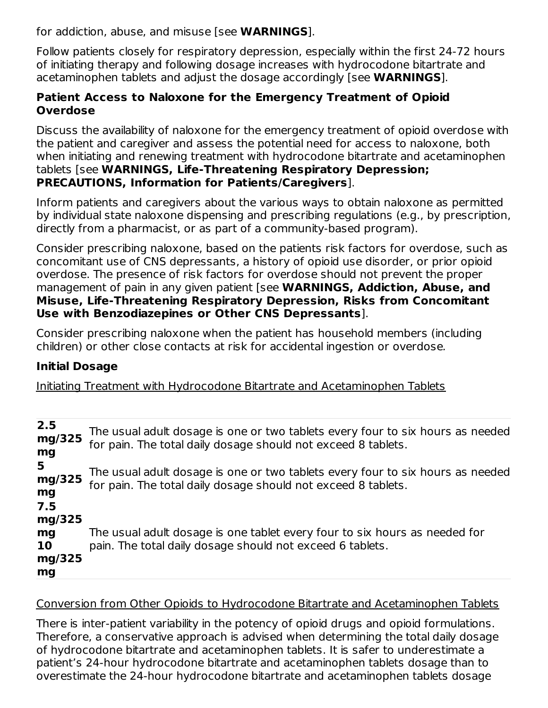for addiction, abuse, and misuse [see **WARNINGS**].

Follow patients closely for respiratory depression, especially within the first 24-72 hours of initiating therapy and following dosage increases with hydrocodone bitartrate and acetaminophen tablets and adjust the dosage accordingly [see **WARNINGS**].

### **Patient Access to Naloxone for the Emergency Treatment of Opioid Overdose**

Discuss the availability of naloxone for the emergency treatment of opioid overdose with the patient and caregiver and assess the potential need for access to naloxone, both when initiating and renewing treatment with hydrocodone bitartrate and acetaminophen tablets [see **WARNINGS, Life-Threatening Respiratory Depression; PRECAUTIONS, Information for Patients/Caregivers**].

Inform patients and caregivers about the various ways to obtain naloxone as permitted by individual state naloxone dispensing and prescribing regulations (e.g., by prescription, directly from a pharmacist, or as part of a community-based program).

Consider prescribing naloxone, based on the patients risk factors for overdose, such as concomitant use of CNS depressants, a history of opioid use disorder, or prior opioid overdose. The presence of risk factors for overdose should not prevent the proper management of pain in any given patient [see **WARNINGS, Addiction, Abuse, and Misuse, Life-Threatening Respiratory Depression, Risks from Concomitant Use with Benzodiazepines or Other CNS Depressants**].

Consider prescribing naloxone when the patient has household members (including children) or other close contacts at risk for accidental ingestion or overdose.

## **Initial Dosage**

Initiating Treatment with Hydrocodone Bitartrate and Acetaminophen Tablets

| 2.5<br>mg/325<br>mg                       | The usual adult dosage is one or two tablets every four to six hours as needed<br>for pain. The total daily dosage should not exceed 8 tablets. |
|-------------------------------------------|-------------------------------------------------------------------------------------------------------------------------------------------------|
| 5<br>mg/325<br>mg<br>7.5                  | The usual adult dosage is one or two tablets every four to six hours as needed<br>for pain. The total daily dosage should not exceed 8 tablets. |
| mg/325<br>mg<br><b>10</b><br>mg/325<br>mg | The usual adult dosage is one tablet every four to six hours as needed for<br>pain. The total daily dosage should not exceed 6 tablets.         |

#### Conversion from Other Opioids to Hydrocodone Bitartrate and Acetaminophen Tablets

There is inter-patient variability in the potency of opioid drugs and opioid formulations. Therefore, a conservative approach is advised when determining the total daily dosage of hydrocodone bitartrate and acetaminophen tablets. It is safer to underestimate a patient's 24-hour hydrocodone bitartrate and acetaminophen tablets dosage than to overestimate the 24-hour hydrocodone bitartrate and acetaminophen tablets dosage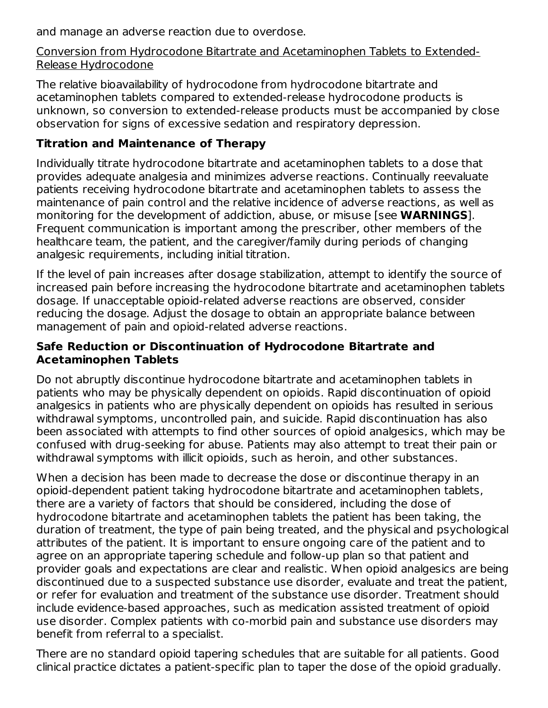and manage an adverse reaction due to overdose.

Conversion from Hydrocodone Bitartrate and Acetaminophen Tablets to Extended-Release Hydrocodone

The relative bioavailability of hydrocodone from hydrocodone bitartrate and acetaminophen tablets compared to extended-release hydrocodone products is unknown, so conversion to extended-release products must be accompanied by close observation for signs of excessive sedation and respiratory depression.

## **Titration and Maintenance of Therapy**

Individually titrate hydrocodone bitartrate and acetaminophen tablets to a dose that provides adequate analgesia and minimizes adverse reactions. Continually reevaluate patients receiving hydrocodone bitartrate and acetaminophen tablets to assess the maintenance of pain control and the relative incidence of adverse reactions, as well as monitoring for the development of addiction, abuse, or misuse [see **WARNINGS**]. Frequent communication is important among the prescriber, other members of the healthcare team, the patient, and the caregiver/family during periods of changing analgesic requirements, including initial titration.

If the level of pain increases after dosage stabilization, attempt to identify the source of increased pain before increasing the hydrocodone bitartrate and acetaminophen tablets dosage. If unacceptable opioid-related adverse reactions are observed, consider reducing the dosage. Adjust the dosage to obtain an appropriate balance between management of pain and opioid-related adverse reactions.

#### **Safe Reduction or Discontinuation of Hydrocodone Bitartrate and Acetaminophen Tablets**

Do not abruptly discontinue hydrocodone bitartrate and acetaminophen tablets in patients who may be physically dependent on opioids. Rapid discontinuation of opioid analgesics in patients who are physically dependent on opioids has resulted in serious withdrawal symptoms, uncontrolled pain, and suicide. Rapid discontinuation has also been associated with attempts to find other sources of opioid analgesics, which may be confused with drug-seeking for abuse. Patients may also attempt to treat their pain or withdrawal symptoms with illicit opioids, such as heroin, and other substances.

When a decision has been made to decrease the dose or discontinue therapy in an opioid-dependent patient taking hydrocodone bitartrate and acetaminophen tablets, there are a variety of factors that should be considered, including the dose of hydrocodone bitartrate and acetaminophen tablets the patient has been taking, the duration of treatment, the type of pain being treated, and the physical and psychological attributes of the patient. It is important to ensure ongoing care of the patient and to agree on an appropriate tapering schedule and follow-up plan so that patient and provider goals and expectations are clear and realistic. When opioid analgesics are being discontinued due to a suspected substance use disorder, evaluate and treat the patient, or refer for evaluation and treatment of the substance use disorder. Treatment should include evidence-based approaches, such as medication assisted treatment of opioid use disorder. Complex patients with co-morbid pain and substance use disorders may benefit from referral to a specialist.

There are no standard opioid tapering schedules that are suitable for all patients. Good clinical practice dictates a patient-specific plan to taper the dose of the opioid gradually.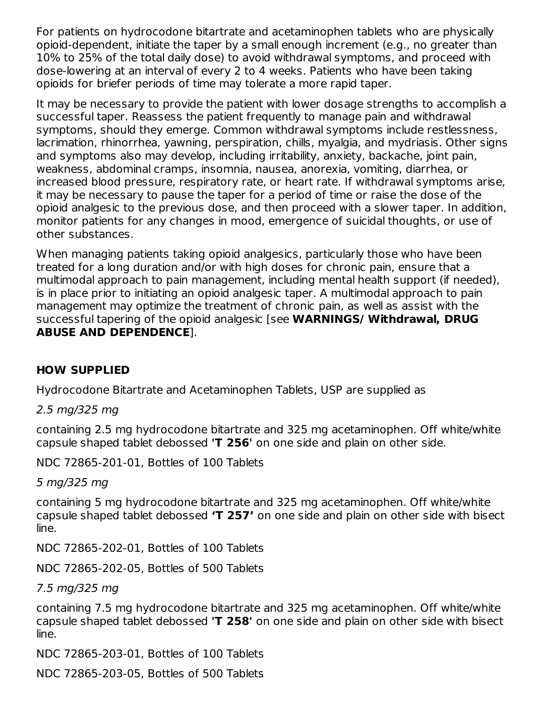For patients on hydrocodone bitartrate and acetaminophen tablets who are physically opioid-dependent, initiate the taper by a small enough increment (e.g., no greater than 10% to 25% of the total daily dose) to avoid withdrawal symptoms, and proceed with dose-lowering at an interval of every 2 to 4 weeks. Patients who have been taking opioids for briefer periods of time may tolerate a more rapid taper.

It may be necessary to provide the patient with lower dosage strengths to accomplish a successful taper. Reassess the patient frequently to manage pain and withdrawal symptoms, should they emerge. Common withdrawal symptoms include restlessness, lacrimation, rhinorrhea, yawning, perspiration, chills, myalgia, and mydriasis. Other signs and symptoms also may develop, including irritability, anxiety, backache, joint pain, weakness, abdominal cramps, insomnia, nausea, anorexia, vomiting, diarrhea, or increased blood pressure, respiratory rate, or heart rate. If withdrawal symptoms arise, it may be necessary to pause the taper for a period of time or raise the dose of the opioid analgesic to the previous dose, and then proceed with a slower taper. In addition, monitor patients for any changes in mood, emergence of suicidal thoughts, or use of other substances.

When managing patients taking opioid analgesics, particularly those who have been treated for a long duration and/or with high doses for chronic pain, ensure that a multimodal approach to pain management, including mental health support (if needed), is in place prior to initiating an opioid analgesic taper. A multimodal approach to pain management may optimize the treatment of chronic pain, as well as assist with the successful tapering of the opioid analgesic [see **WARNINGS/ Withdrawal, DRUG ABUSE AND DEPENDENCE**].

## **HOW SUPPLIED**

Hydrocodone Bitartrate and Acetaminophen Tablets, USP are supplied as

2.5 mg/325 mg

containing 2.5 mg hydrocodone bitartrate and 325 mg acetaminophen. Off white/white capsule shaped tablet debossed **'T 256'** on one side and plain on other side.

NDC 72865-201-01, Bottles of 100 Tablets

5 mg/325 mg

containing 5 mg hydrocodone bitartrate and 325 mg acetaminophen. Off white/white capsule shaped tablet debossed **'T 257'** on one side and plain on other side with bisect line.

NDC 72865-202-01, Bottles of 100 Tablets

NDC 72865-202-05, Bottles of 500 Tablets

7.5 mg/325 mg

containing 7.5 mg hydrocodone bitartrate and 325 mg acetaminophen. Off white/white capsule shaped tablet debossed **'T 258'** on one side and plain on other side with bisect line.

NDC 72865-203-01, Bottles of 100 Tablets

NDC 72865-203-05, Bottles of 500 Tablets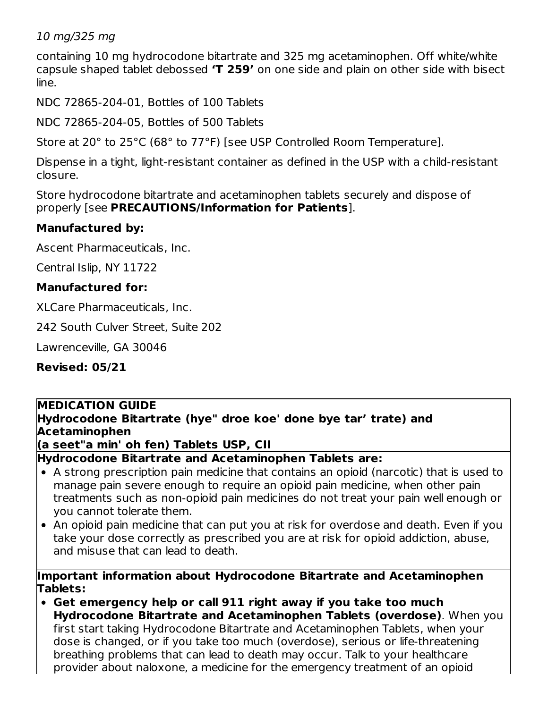### 10 mg/325 mg

containing 10 mg hydrocodone bitartrate and 325 mg acetaminophen. Off white/white capsule shaped tablet debossed **'T 259'** on one side and plain on other side with bisect line.

NDC 72865-204-01, Bottles of 100 Tablets

NDC 72865-204-05, Bottles of 500 Tablets

Store at 20° to 25°C (68° to 77°F) [see USP Controlled Room Temperature].

Dispense in a tight, light-resistant container as defined in the USP with a child-resistant closure.

Store hydrocodone bitartrate and acetaminophen tablets securely and dispose of properly [see **PRECAUTIONS/Information for Patients**].

## **Manufactured by:**

Ascent Pharmaceuticals, Inc.

Central Islip, NY 11722

### **Manufactured for:**

XLCare Pharmaceuticals, Inc.

242 South Culver Street, Suite 202

Lawrenceville, GA 30046

**Revised: 05/21**

#### **MEDICATION GUIDE**

### **Hydrocodone Bitartrate (hye" droe koe' done bye tar' trate) and Acetaminophen**

**(a seet"a min' oh fen) Tablets USP, CII**

**Hydrocodone Bitartrate and Acetaminophen Tablets are:**

- A strong prescription pain medicine that contains an opioid (narcotic) that is used to manage pain severe enough to require an opioid pain medicine, when other pain treatments such as non-opioid pain medicines do not treat your pain well enough or you cannot tolerate them.
- An opioid pain medicine that can put you at risk for overdose and death. Even if you take your dose correctly as prescribed you are at risk for opioid addiction, abuse, and misuse that can lead to death.

#### **Important information about Hydrocodone Bitartrate and Acetaminophen Tablets:**

**Get emergency help or call 911 right away if you take too much Hydrocodone Bitartrate and Acetaminophen Tablets (overdose)**. When you first start taking Hydrocodone Bitartrate and Acetaminophen Tablets, when your dose is changed, or if you take too much (overdose), serious or life-threatening breathing problems that can lead to death may occur. Talk to your healthcare provider about naloxone, a medicine for the emergency treatment of an opioid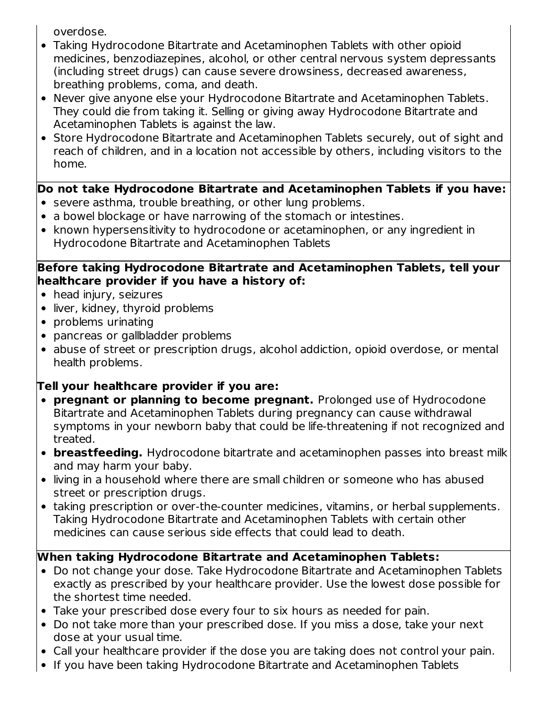overdose.

- Taking Hydrocodone Bitartrate and Acetaminophen Tablets with other opioid medicines, benzodiazepines, alcohol, or other central nervous system depressants (including street drugs) can cause severe drowsiness, decreased awareness, breathing problems, coma, and death.
- Never give anyone else your Hydrocodone Bitartrate and Acetaminophen Tablets. They could die from taking it. Selling or giving away Hydrocodone Bitartrate and Acetaminophen Tablets is against the law.
- Store Hydrocodone Bitartrate and Acetaminophen Tablets securely, out of sight and reach of children, and in a location not accessible by others, including visitors to the home.

# **Do not take Hydrocodone Bitartrate and Acetaminophen Tablets if you have:**

- severe asthma, trouble breathing, or other lung problems.
- a bowel blockage or have narrowing of the stomach or intestines.
- known hypersensitivity to hydrocodone or acetaminophen, or any ingredient in Hydrocodone Bitartrate and Acetaminophen Tablets

### **Before taking Hydrocodone Bitartrate and Acetaminophen Tablets, tell your healthcare provider if you have a history of:**

- head injury, seizures
- liver, kidney, thyroid problems
- problems urinating
- pancreas or gallbladder problems
- abuse of street or prescription drugs, alcohol addiction, opioid overdose, or mental health problems.

# **Tell your healthcare provider if you are:**

- **pregnant or planning to become pregnant.** Prolonged use of Hydrocodone Bitartrate and Acetaminophen Tablets during pregnancy can cause withdrawal symptoms in your newborn baby that could be life-threatening if not recognized and treated.
- **breastfeeding.** Hydrocodone bitartrate and acetaminophen passes into breast milk and may harm your baby.
- living in a household where there are small children or someone who has abused street or prescription drugs.
- taking prescription or over-the-counter medicines, vitamins, or herbal supplements. Taking Hydrocodone Bitartrate and Acetaminophen Tablets with certain other medicines can cause serious side effects that could lead to death.

# **When taking Hydrocodone Bitartrate and Acetaminophen Tablets:**

- Do not change your dose. Take Hydrocodone Bitartrate and Acetaminophen Tablets exactly as prescribed by your healthcare provider. Use the lowest dose possible for the shortest time needed.
- Take your prescribed dose every four to six hours as needed for pain.
- Do not take more than your prescribed dose. If you miss a dose, take your next dose at your usual time.
- Call your healthcare provider if the dose you are taking does not control your pain.
- If you have been taking Hydrocodone Bitartrate and Acetaminophen Tablets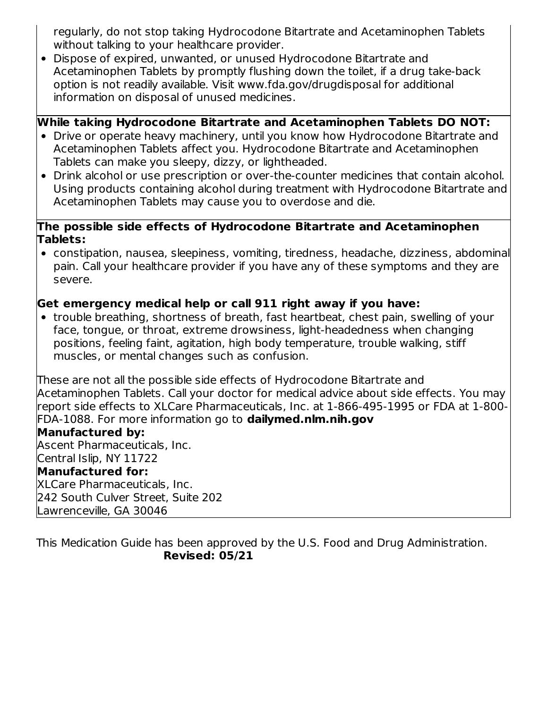regularly, do not stop taking Hydrocodone Bitartrate and Acetaminophen Tablets without talking to your healthcare provider.

Dispose of expired, unwanted, or unused Hydrocodone Bitartrate and Acetaminophen Tablets by promptly flushing down the toilet, if a drug take-back option is not readily available. Visit www.fda.gov/drugdisposal for additional information on disposal of unused medicines.

## **While taking Hydrocodone Bitartrate and Acetaminophen Tablets DO NOT:**

- Drive or operate heavy machinery, until you know how Hydrocodone Bitartrate and Acetaminophen Tablets affect you. Hydrocodone Bitartrate and Acetaminophen Tablets can make you sleepy, dizzy, or lightheaded.
- Drink alcohol or use prescription or over-the-counter medicines that contain alcohol. Using products containing alcohol during treatment with Hydrocodone Bitartrate and Acetaminophen Tablets may cause you to overdose and die.

#### **The possible side effects of Hydrocodone Bitartrate and Acetaminophen Tablets:**

constipation, nausea, sleepiness, vomiting, tiredness, headache, dizziness, abdominal pain. Call your healthcare provider if you have any of these symptoms and they are severe.

## **Get emergency medical help or call 911 right away if you have:**

trouble breathing, shortness of breath, fast heartbeat, chest pain, swelling of your face, tongue, or throat, extreme drowsiness, light-headedness when changing positions, feeling faint, agitation, high body temperature, trouble walking, stiff muscles, or mental changes such as confusion.

These are not all the possible side effects of Hydrocodone Bitartrate and Acetaminophen Tablets. Call your doctor for medical advice about side effects. You may report side effects to XLCare Pharmaceuticals, Inc. at 1-866-495-1995 or FDA at 1-800- FDA-1088. For more information go to **dailymed.nlm.nih.gov**

## **Manufactured by:**

Ascent Pharmaceuticals, Inc. Central Islip, NY 11722 **Manufactured for:** XLCare Pharmaceuticals, Inc. 242 South Culver Street, Suite 202 Lawrenceville, GA 30046

This Medication Guide has been approved by the U.S. Food and Drug Administration. **Revised: 05/21**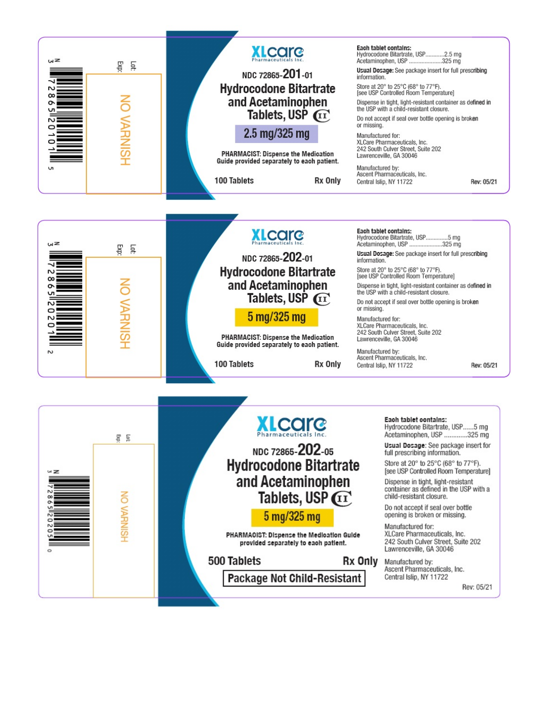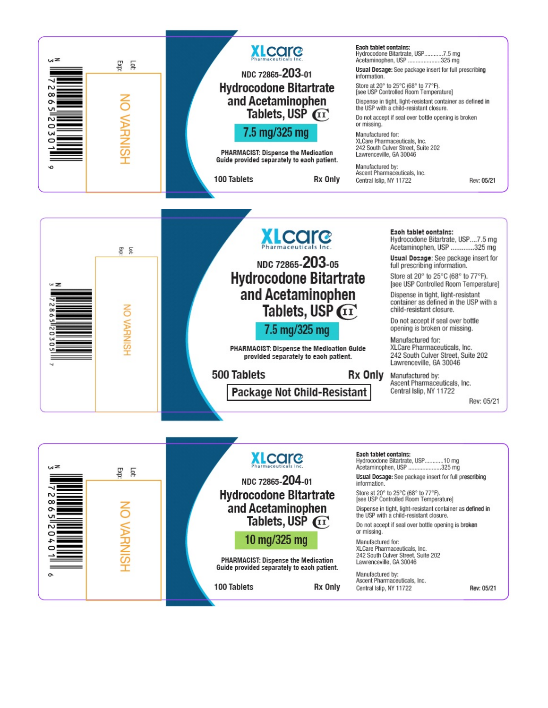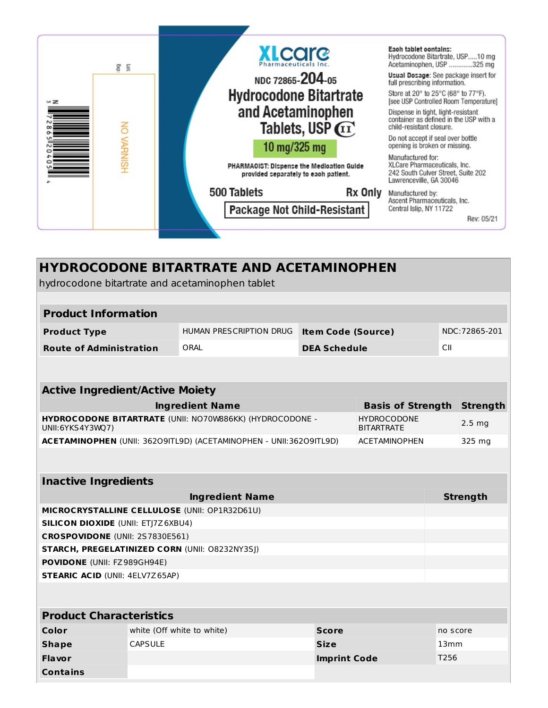

| <b>HYDROCODONE BITARTRATE AND ACETAMINOPHEN</b><br>hydrocodone bitartrate and acetaminophen tablet |                                                                                                     |                            |                           |                          |          |                  |
|----------------------------------------------------------------------------------------------------|-----------------------------------------------------------------------------------------------------|----------------------------|---------------------------|--------------------------|----------|------------------|
|                                                                                                    |                                                                                                     |                            |                           |                          |          |                  |
| <b>Product Information</b>                                                                         |                                                                                                     |                            |                           |                          |          |                  |
| <b>Product Type</b>                                                                                |                                                                                                     | HUMAN PRESCRIPTION DRUG    | <b>Item Code (Source)</b> |                          |          | NDC: 72865-201   |
| <b>Route of Administration</b>                                                                     |                                                                                                     | ORAL                       | <b>DEA Schedule</b>       |                          | CII      |                  |
|                                                                                                    |                                                                                                     |                            |                           |                          |          |                  |
| <b>Active Ingredient/Active Moiety</b>                                                             |                                                                                                     |                            |                           |                          |          |                  |
|                                                                                                    |                                                                                                     | <b>Ingredient Name</b>     |                           | <b>Basis of Strength</b> |          | <b>Strength</b>  |
| UNII:6YKS4Y3WQ7)                                                                                   | HYDROCODONE BITARTRATE (UNII: NO70W886KK) (HYDROCODONE -<br><b>HYDROCODONE</b><br><b>BITARTRATE</b> |                            |                           |                          |          | $2.5 \text{ mg}$ |
|                                                                                                    | ACETAMINOPHEN (UNII: 36209ITL9D) (ACETAMINOPHEN - UNII:36209ITL9D)<br><b>ACETAMINOPHEN</b>          |                            |                           |                          |          | 325 mg           |
|                                                                                                    |                                                                                                     |                            |                           |                          |          |                  |
| <b>Inactive Ingredients</b>                                                                        |                                                                                                     |                            |                           |                          |          |                  |
|                                                                                                    |                                                                                                     | <b>Ingredient Name</b>     |                           |                          |          | <b>Strength</b>  |
| MICROCRYSTALLINE CELLULOSE (UNII: OP1R32D61U)                                                      |                                                                                                     |                            |                           |                          |          |                  |
| <b>SILICON DIOXIDE (UNII: ETJ7Z6XBU4)</b>                                                          |                                                                                                     |                            |                           |                          |          |                  |
| CROSPOVIDONE (UNII: 2S7830E561)                                                                    |                                                                                                     |                            |                           |                          |          |                  |
| STARCH, PREGELATINIZED CORN (UNII: 08232NY3SJ)                                                     |                                                                                                     |                            |                           |                          |          |                  |
| POVIDONE (UNII: FZ989GH94E)                                                                        |                                                                                                     |                            |                           |                          |          |                  |
| <b>STEARIC ACID (UNII: 4ELV7Z65AP)</b>                                                             |                                                                                                     |                            |                           |                          |          |                  |
|                                                                                                    |                                                                                                     |                            |                           |                          |          |                  |
| <b>Product Characteristics</b>                                                                     |                                                                                                     |                            |                           |                          |          |                  |
| Color                                                                                              |                                                                                                     | white (Off white to white) | <b>Score</b>              |                          | no score |                  |
| <b>CAPSULE</b><br><b>Shape</b><br><b>Size</b><br>13mm                                              |                                                                                                     |                            |                           |                          |          |                  |

**Flavor Imprint Code** T256

**Contains**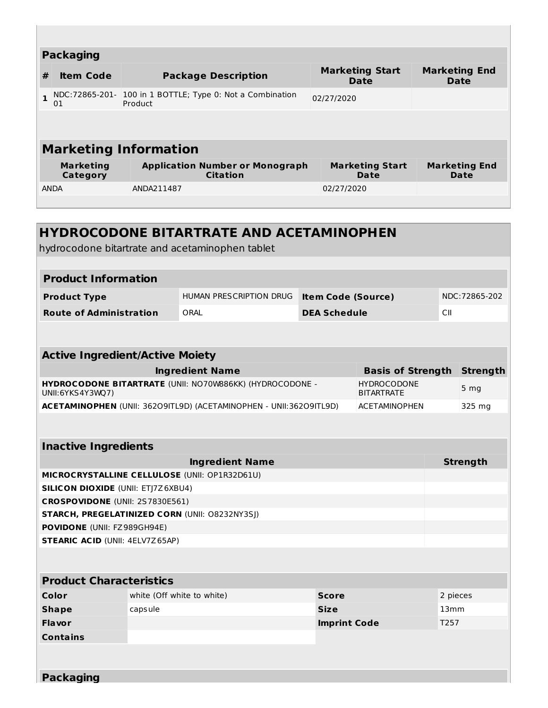|              | <b>Packaging</b>                    |                                                                      |                                       |                                     |
|--------------|-------------------------------------|----------------------------------------------------------------------|---------------------------------------|-------------------------------------|
| #            | <b>Item Code</b>                    | <b>Package Description</b>                                           | <b>Marketing Start</b><br><b>Date</b> | <b>Marketing End</b><br><b>Date</b> |
| $\mathbf{1}$ | 01                                  | NDC:72865-201- 100 in 1 BOTTLE; Type 0: Not a Combination<br>Product | 02/27/2020                            |                                     |
|              |                                     |                                                                      |                                       |                                     |
|              |                                     | <b>Marketing Information</b>                                         |                                       |                                     |
|              | <b>Marketing</b><br><b>Category</b> | <b>Application Number or Monograph</b><br><b>Citation</b>            | <b>Marketing Start</b><br>Date        | <b>Marketing End</b><br>Date        |
|              | <b>ANDA</b>                         | ANDA211487                                                           | 02/27/2020                            |                                     |
|              |                                     |                                                                      |                                       |                                     |

|                                                                                |         | <b>HYDROCODONE BITARTRATE AND ACETAMINOPHEN</b><br>hydrocodone bitartrate and acetaminophen tablet |                           |                                         |            |                 |
|--------------------------------------------------------------------------------|---------|----------------------------------------------------------------------------------------------------|---------------------------|-----------------------------------------|------------|-----------------|
|                                                                                |         |                                                                                                    |                           |                                         |            |                 |
| <b>Product Information</b>                                                     |         |                                                                                                    |                           |                                         |            |                 |
| <b>Product Type</b>                                                            |         | HUMAN PRESCRIPTION DRUG                                                                            | <b>Item Code (Source)</b> |                                         |            | NDC: 72865-202  |
| <b>Route of Administration</b>                                                 |         | ORAL                                                                                               | <b>DEA Schedule</b>       |                                         | <b>CII</b> |                 |
|                                                                                |         |                                                                                                    |                           |                                         |            |                 |
|                                                                                |         |                                                                                                    |                           |                                         |            |                 |
| <b>Active Ingredient/Active Moiety</b>                                         |         |                                                                                                    |                           |                                         |            |                 |
|                                                                                |         | <b>Ingredient Name</b>                                                                             |                           | <b>Basis of Strength</b>                |            | Strength        |
| UNII:6YKS4Y3WQ7)                                                               |         | HYDROCODONE BITARTRATE (UNII: NO70W886KK) (HYDROCODONE -                                           |                           | <b>HYDROCODONE</b><br><b>BITARTRATE</b> |            | 5 <sub>mg</sub> |
|                                                                                |         | ACETAMINOPHEN (UNII: 36209ITL9D) (ACETAMINOPHEN - UNII:36209ITL9D)                                 |                           | <b>ACETAMINOPHEN</b>                    |            | 325 mg          |
|                                                                                |         |                                                                                                    |                           |                                         |            |                 |
| <b>Inactive Ingredients</b>                                                    |         |                                                                                                    |                           |                                         |            |                 |
|                                                                                |         |                                                                                                    |                           |                                         |            | <b>Strength</b> |
| <b>Ingredient Name</b><br><b>MICROCRYSTALLINE CELLULOSE (UNII: OP1R32D61U)</b> |         |                                                                                                    |                           |                                         |            |                 |
| <b>SILICON DIOXIDE (UNII: ETJ7Z6XBU4)</b>                                      |         |                                                                                                    |                           |                                         |            |                 |
| CROSPOVIDONE (UNII: 2S7830E561)                                                |         |                                                                                                    |                           |                                         |            |                 |
| <b>STARCH, PREGELATINIZED CORN (UNII: O8232NY3SJ)</b>                          |         |                                                                                                    |                           |                                         |            |                 |
| <b>POVIDONE</b> (UNII: FZ989GH94E)                                             |         |                                                                                                    |                           |                                         |            |                 |
| <b>STEARIC ACID (UNII: 4ELV7Z65AP)</b>                                         |         |                                                                                                    |                           |                                         |            |                 |
|                                                                                |         |                                                                                                    |                           |                                         |            |                 |
| <b>Product Characteristics</b>                                                 |         |                                                                                                    |                           |                                         |            |                 |
| Color                                                                          |         | white (Off white to white)                                                                         | <b>Score</b>              |                                         | 2 pieces   |                 |
| <b>Shape</b>                                                                   | capsule |                                                                                                    | <b>Size</b>               |                                         | 13mm       |                 |
| <b>Flavor</b>                                                                  |         |                                                                                                    | <b>Imprint Code</b>       |                                         | T257       |                 |
| <b>Contains</b>                                                                |         |                                                                                                    |                           |                                         |            |                 |
|                                                                                |         |                                                                                                    |                           |                                         |            |                 |
|                                                                                |         |                                                                                                    |                           |                                         |            |                 |
| <b>Packaging</b>                                                               |         |                                                                                                    |                           |                                         |            |                 |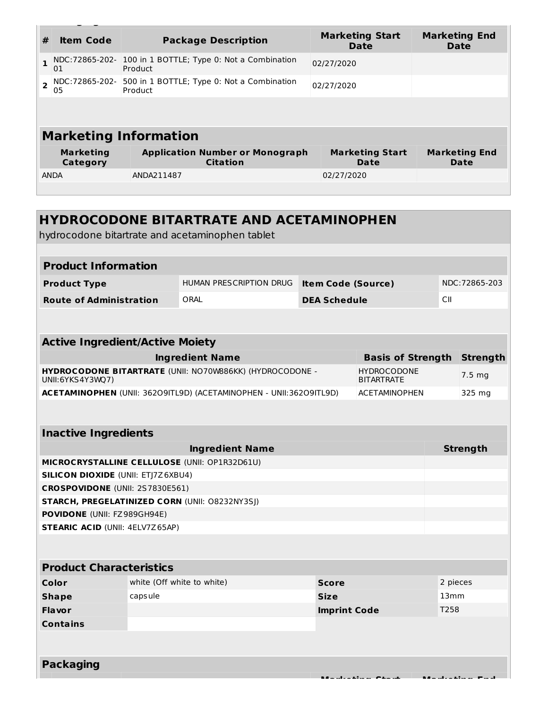| # | <b>Item Code</b>             | <b>Package Description</b>                                | <b>Marketing Start</b><br>Date | <b>Marketing End</b><br>Date |  |  |
|---|------------------------------|-----------------------------------------------------------|--------------------------------|------------------------------|--|--|
|   | NDC:72865-202-<br>01         | 100 in 1 BOTTLE; Type 0: Not a Combination<br>Product     | 02/27/2020                     |                              |  |  |
|   | NDC:72865-202-<br>05         | 500 in 1 BOTTLE; Type 0: Not a Combination<br>Product     | 02/27/2020                     |                              |  |  |
|   |                              |                                                           |                                |                              |  |  |
|   | <b>Marketing Information</b> |                                                           |                                |                              |  |  |
|   | <b>Marketing</b><br>Category | <b>Application Number or Monograph</b><br><b>Citation</b> | <b>Marketing Start</b><br>Date | <b>Marketing End</b><br>Date |  |  |
|   | <b>ANDA</b>                  | ANDA211487                                                | 02/27/2020                     |                              |  |  |
|   |                              |                                                           |                                |                              |  |  |

**Packaging**

| <b>HYDROCODONE BITARTRATE AND ACETAMINOPHEN</b>                              |                            |                           |                                         |                 |                 |
|------------------------------------------------------------------------------|----------------------------|---------------------------|-----------------------------------------|-----------------|-----------------|
| hydrocodone bitartrate and acetaminophen tablet                              |                            |                           |                                         |                 |                 |
| <b>Product Information</b>                                                   |                            |                           |                                         |                 |                 |
|                                                                              |                            |                           |                                         |                 |                 |
| <b>Product Type</b>                                                          | HUMAN PRESCRIPTION DRUG    | <b>Item Code (Source)</b> |                                         |                 | NDC:72865-203   |
| <b>Route of Administration</b>                                               | ORAL                       | <b>DEA Schedule</b>       |                                         | CII             |                 |
|                                                                              |                            |                           |                                         |                 |                 |
| <b>Active Ingredient/Active Moiety</b>                                       |                            |                           |                                         |                 |                 |
|                                                                              | <b>Ingredient Name</b>     |                           | <b>Basis of Strength</b>                |                 | <b>Strength</b> |
| HYDROCODONE BITARTRATE (UNII: NO70W886KK) (HYDROCODONE -<br>UNII:6YKS4Y3WQ7) |                            |                           | <b>HYDROCODONE</b><br><b>BITARTRATE</b> |                 | $7.5 \, mg$     |
| ACETAMINOPHEN (UNII: 36209ITL9D) (ACETAMINOPHEN - UNII:36209ITL9D)           |                            |                           | <b>ACETAMINOPHEN</b>                    |                 | 325 mg          |
| <b>Inactive Ingredients</b>                                                  |                            |                           |                                         |                 |                 |
|                                                                              | <b>Ingredient Name</b>     |                           |                                         | <b>Strength</b> |                 |
| MICROCRYSTALLINE CELLULOSE (UNII: OP1R32D61U)                                |                            |                           |                                         |                 |                 |
| <b>SILICON DIOXIDE (UNII: ETJ7Z6XBU4)</b>                                    |                            |                           |                                         |                 |                 |
| CROSPOVIDONE (UNII: 2S7830E561)                                              |                            |                           |                                         |                 |                 |
| <b>STARCH, PREGELATINIZED CORN (UNII: 08232NY3SJ)</b>                        |                            |                           |                                         |                 |                 |
| POVIDONE (UNII: FZ989GH94E)<br><b>STEARIC ACID (UNII: 4ELV7Z65AP)</b>        |                            |                           |                                         |                 |                 |
|                                                                              |                            |                           |                                         |                 |                 |
| <b>Product Characteristics</b>                                               |                            |                           |                                         |                 |                 |
| Color                                                                        | white (Off white to white) | <b>Score</b>              |                                         | 2 pieces        |                 |
| capsule<br><b>Shape</b>                                                      |                            | <b>Size</b>               |                                         | 13mm            |                 |
| <b>Flavor</b>                                                                |                            | <b>Imprint Code</b>       |                                         | T258            |                 |
| <b>Contains</b>                                                              |                            |                           |                                         |                 |                 |
| <b>Packaging</b>                                                             |                            |                           |                                         |                 |                 |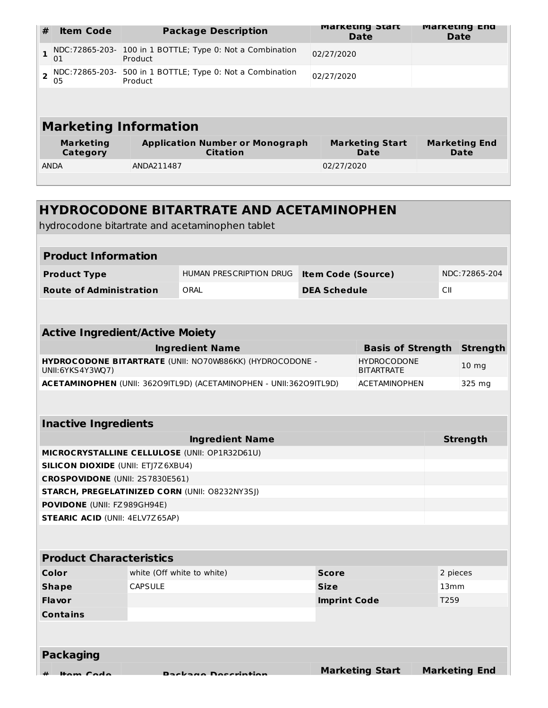| #            | <b>Item Code</b>             | <b>Package Description</b>                                          | <b>Marketing Start</b><br>Date | <b>Marketing End</b><br><b>Date</b> |
|--------------|------------------------------|---------------------------------------------------------------------|--------------------------------|-------------------------------------|
| $\mathbf{1}$ | NDC:72865-203-<br>01         | 100 in 1 BOTTLE; Type 0: Not a Combination<br>02/27/2020<br>Product |                                |                                     |
|              | NDC:72865-203-<br>05         | 500 in 1 BOTTLE; Type 0: Not a Combination<br>Product               | 02/27/2020                     |                                     |
|              |                              |                                                                     |                                |                                     |
|              |                              | <b>Marketing Information</b>                                        |                                |                                     |
|              | <b>Marketing</b><br>Category | <b>Application Number or Monograph</b><br><b>Citation</b>           | <b>Marketing Start</b><br>Date | <b>Marketing End</b><br>Date        |
|              | <b>ANDA</b>                  | ANDA211487                                                          | 02/27/2020                     |                                     |
|              |                              |                                                                     |                                |                                     |

|                                                |                            | <b>HYDROCODONE BITARTRATE AND ACETAMINOPHEN</b><br>hydrocodone bitartrate and acetaminophen tablet |                           |                                         |                  |                      |
|------------------------------------------------|----------------------------|----------------------------------------------------------------------------------------------------|---------------------------|-----------------------------------------|------------------|----------------------|
|                                                |                            |                                                                                                    |                           |                                         |                  |                      |
| <b>Product Information</b>                     |                            |                                                                                                    |                           |                                         |                  |                      |
| <b>Product Type</b>                            |                            | HUMAN PRESCRIPTION DRUG                                                                            | <b>Item Code (Source)</b> |                                         |                  | NDC: 72865-204       |
| <b>Route of Administration</b>                 |                            | ORAL                                                                                               | <b>DEA Schedule</b>       |                                         | CII              |                      |
|                                                |                            |                                                                                                    |                           |                                         |                  |                      |
| <b>Active Ingredient/Active Moiety</b>         |                            |                                                                                                    |                           |                                         |                  |                      |
|                                                |                            | <b>Ingredient Name</b>                                                                             |                           | <b>Basis of Strength</b>                |                  | <b>Strength</b>      |
| UNII:6YKS4Y3WQ7)                               |                            | HYDROCODONE BITARTRATE (UNII: NO70W886KK) (HYDROCODONE -                                           |                           | <b>HYDROCODONE</b><br><b>BITARTRATE</b> |                  | 10 <sub>mg</sub>     |
|                                                |                            | ACETAMINOPHEN (UNII: 36209ITL9D) (ACETAMINOPHEN - UNII:36209ITL9D)                                 |                           | <b>ACETAMINOPHEN</b>                    |                  | 325 mg               |
|                                                |                            |                                                                                                    |                           |                                         |                  |                      |
| <b>Inactive Ingredients</b>                    |                            |                                                                                                    |                           |                                         |                  |                      |
|                                                |                            | <b>Ingredient Name</b>                                                                             |                           |                                         | <b>Strength</b>  |                      |
| MICROCRYSTALLINE CELLULOSE (UNII: OP1R32D61U)  |                            |                                                                                                    |                           |                                         |                  |                      |
| <b>SILICON DIOXIDE (UNII: ETJ7Z6XBU4)</b>      |                            |                                                                                                    |                           |                                         |                  |                      |
| CROSPOVIDONE (UNII: 2S7830E561)                |                            |                                                                                                    |                           |                                         |                  |                      |
| STARCH, PREGELATINIZED CORN (UNII: 08232NY3SJ) |                            |                                                                                                    |                           |                                         |                  |                      |
| POVIDONE (UNII: FZ989GH94E)                    |                            |                                                                                                    |                           |                                         |                  |                      |
| <b>STEARIC ACID (UNII: 4ELV7Z65AP)</b>         |                            |                                                                                                    |                           |                                         |                  |                      |
|                                                |                            |                                                                                                    |                           |                                         |                  |                      |
| <b>Product Characteristics</b>                 |                            |                                                                                                    |                           |                                         |                  |                      |
| Color                                          | white (Off white to white) |                                                                                                    | <b>Score</b>              |                                         | 2 pieces         |                      |
| <b>Shape</b>                                   | <b>CAPSULE</b>             |                                                                                                    | <b>Size</b>               |                                         | 13 <sub>mm</sub> |                      |
| <b>Flavor</b>                                  |                            |                                                                                                    | <b>Imprint Code</b>       |                                         | T259             |                      |
| <b>Contains</b>                                |                            |                                                                                                    |                           |                                         |                  |                      |
|                                                |                            |                                                                                                    |                           |                                         |                  |                      |
|                                                |                            |                                                                                                    |                           |                                         |                  |                      |
| <b>Packaging</b>                               |                            |                                                                                                    |                           |                                         |                  |                      |
| $m$ Cada                                       |                            |                                                                                                    |                           | <b>Marketing Start</b>                  |                  | <b>Marketing End</b> |